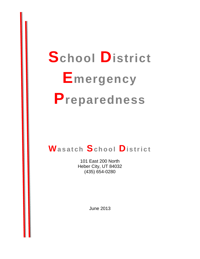# **School District Emergency Preparedness**

# **Wasatch School District**

101 East 200 North Heber City, UT 84032 (435) 654-0280

June 2013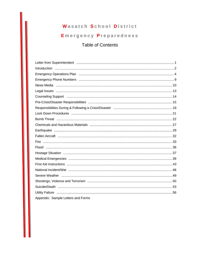# Wasatch School District

# Emergency Preparedness

# Table of Contents

| Appendix: Sample Letters and Forms |
|------------------------------------|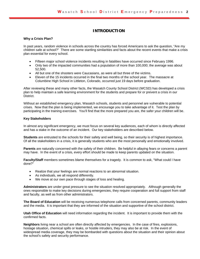#### **INTRODUCTION**

#### **Why a Crisis Plan?**

In past years, random violence in schools across the country has forced Americans to ask the question, "Are my children safe at school?" There are some startling similarities and facts about the recent events that make a crisis plan essential for every school.

- Fifteen major school violence incidents resulting in fatalities have occurred since February 1996.
- Only two of the impacted communities had a population of more than 100,000; the average was about 52,500.
- All but one of the shooters were Caucasians, as were all but three of the victims.
- Eleven of the 15 incidents occurred in the final two months of the school year. The massacre at Columbine High School in Littleton, Colorado, occurred just 19 days before graduation.

After reviewing these and many other facts, the Wasatch County School District (WCSD) has developed a crisis plan to help maintain a safe learning environment for the students and prepare for or prevent a crisis in our District.

Without an established emergency plan, Wasatch schools, students and personnel are vulnerable to potential crises. Now that the plan is being implemented, we encourage you to take advantage of it. Test the plan by participating in the training exercises. You'll find that the more prepared you are, the safer your children will be.

#### **Key Stakeholders**

In almost any significant emergency, we must focus on several key audiences, each of whom is directly affected and has a stake in the outcome of an incident. Our key stakeholders are described below.

**Students** are entrusted to the schools for their safety and well being, so their security is of highest importance. Of all the stakeholders in a crisis, it is generally students who are the most personally and emotionally involved.

**Parents** are naturally concerned with the safety of their children. Be helpful in allaying fears or concerns a parent may have. In the event of a crisis, every effort should be made to keep parents updated on the situation.

**Faculty/Staff** members sometimes blame themselves for a tragedy. It is common to ask, "What could I have done?"

- Realize that your feelings are normal reactions to an abnormal situation.
- As individuals, we all respond differently.
- We move at our own pace through stages of loss and healing.

**Administrators** are under great pressure to see the situation resolved appropriately. Although generally the ones responsible to make key decisions during emergencies, they require cooperation and full support from staff and faculty, as well as from other administrators.

**The Board of Education** will be receiving numerous telephone calls from concerned parents, community leaders and the media. It is important that they are informed of the situation and supportive of the school district.

**Utah Office of Education** will need information regarding the incident. It is important to provide them with the confirmed facts.

**Neighbors** living near a school are often directly affected by emergencies. In the case of fires, explosions, hostage situation, chemical spills or leaks, or hostile intruders, they may also be at risk. In the event of widespread media coverage, they may be bombarded with questions about the situation and their opinion about the school's safety and security performance.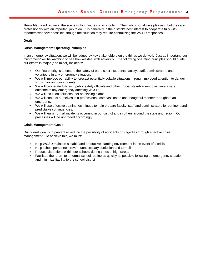**News Media** will arrive at the scene within minutes of an incident. Their job is not always pleasant, but they are professionals with an important job to do. It is generally in the district's best interest to cooperate fully with reporters whenever possible, though the situation may require centralizing the WCSD responses.

#### **Goals**

#### **Crisis Management Operating Principles**

In an emergency situation, we will be judged by key stakeholders on the things we do well. Just as important, our "customers" will be watching to see how we deal with adversity. The following operating principles should guide our efforts in major (and minor) incidents:

- Our first priority is to ensure the safety of our district's students, faculty, staff, administrators and volunteers in any emergency situation.
- We will improve our ability to forecast potentially volatile situations through improved attention to danger signs involving our students.
- We will cooperate fully with public safety officials and other crucial stakeholders to achieve a safe outcome in any emergency affecting WCSD.
- We will focus on solutions, not on placing blame.
- We will conduct ourselves in a professional, compassionate and thoughtful manner throughout an emergency.
- We will use effective training techniques to help prepare faculty, staff and administrators for pertinent and predictable contingencies.
- We will learn from all incidents occurring in our district and in others around the state and region. Our processes will be upgraded accordingly.

#### **Crisis Management Goals**

Our overall goal is to prevent or reduce the possibility of accidents or tragedies through effective crisis management. To achieve this, we must:

- Help WCSD maintain a stable and productive learning environment in the event of a crisis
- Help school personnel prevent unnecessary confusion and turmoil
- Reduce disruptions within our schools during times of high stress
- Facilitate the return to a normal school routine as quickly as possible following an emergency situation and minimize liability to the school district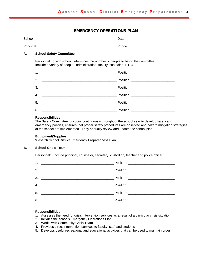#### **EMERGENCY OPERATIONS PLAN**

| School               | ⊃ate         |
|----------------------|--------------|
| <b>Princins</b><br>. | <b>JI 18</b> |

#### **School Safety Committee** А.

Personnel: (Each school determines the number of people to be on the committee. Include a variety of people: administration, faculty, custodian, PTA)

| 1.<br><u> 1989 - Johann John Stein, markin fan it fjort fan de ferstjer fan it fjort fan de ferstjer fan de ferstjer f</u> |                                            |
|----------------------------------------------------------------------------------------------------------------------------|--------------------------------------------|
| 2.<br><u> 2008 - Jan Barnett, mars et al. (f. 1888)</u>                                                                    |                                            |
| 3.                                                                                                                         |                                            |
|                                                                                                                            |                                            |
| 5.                                                                                                                         | Position: ________________________________ |
| 6.                                                                                                                         |                                            |

#### **Responsibilities**

The Safety Committee functions continuously throughout the school year to develop safety and emergency policies, ensures that proper safety procedures are observed and hazard mitigation strategies at the school are implemented. They annually review and update the school plan.

#### **Equipment/Supplies**

Wasatch School District Emergency Preparedness Plan

#### **B. School Crisis Team**

Personnel: Include principal, counselor, secretary, custodian, teacher and police officer.

|    | 2. $\qquad \qquad$                                                                                                    |
|----|-----------------------------------------------------------------------------------------------------------------------|
|    |                                                                                                                       |
|    |                                                                                                                       |
|    |                                                                                                                       |
| 6. | <u> 2000 - Jan James James James James James James James James James James James James James James James James Ja</u> |

#### **Responsibilities**

- 1. Assesses the need for crisis intervention services as a result of a particular crisis situation
- 2. Initiates the schools Emergency Operations Plan
- 3. Works with Community Crisis Team
- 4. Provides direct intervention services to faculty, staff and students
- 5. Develops useful recreational and educational activities that can be used to maintain order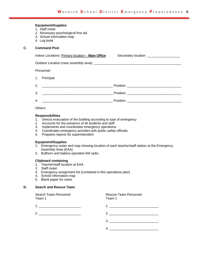#### **Equipment/Supplies**

- 1. Staff roster
- 2. Necessary psychological first aid
- 3. School information map
- 4. Log book

#### $C_{\cdot}$ **Command Post**

| Indoor Locations: Primary location - Main Office | Secondary location _____________________ |
|--------------------------------------------------|------------------------------------------|
|                                                  |                                          |
| Personnel:                                       |                                          |
| 1. Principal                                     |                                          |
| 2.                                               |                                          |
| 3.                                               |                                          |
| 4.                                               | Position:                                |

#### Others:

#### **Responsibilities**

- 1. Directs evacuation of the building according to type of emergency
- 2. Accounts for the presence of all students and staff
- 3. Implements and coordinates emergency operations
- 4. Coordinates emergency activities with public safety officials
- 5. Prepares reports for superintendent

#### **Equipment/Supplies**

- 1. Emergency roster and map showing location of each teacher/staff station at the Emergency Assembly Area (EAA).
- 2. Bullhorn and battery-operated AM radio.

#### **Clipboard containing**

- 1. Teacher/staff location at EAA
- 2. Staff roster
- 3. Emergency assignment list (contained in this operations plan)
- 4. School information map
- 5. Blank paper for notes

#### D. **Search and Rescue Team**

Search Team Personnel **Rescue Team Personnel** Team 1 Team 1  $\overline{A}$  $\overline{2}$ 

| 4. |  |  |
|----|--|--|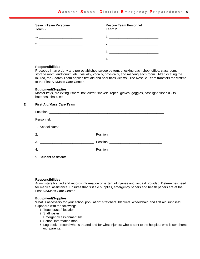| Search Team Personnel<br>Team 2                                                                                                         | <b>Rescue Team Personnel</b><br>Team 2 |
|-----------------------------------------------------------------------------------------------------------------------------------------|----------------------------------------|
|                                                                                                                                         |                                        |
| 2 <sub>1</sub><br><u> 1980 - John Stone, mars and de la provincia de la provincia de la provincia de la provincia de la provincia d</u> | 2. $\qquad \qquad$                     |
|                                                                                                                                         |                                        |
|                                                                                                                                         |                                        |

#### **Responsibilities**

Proceeds in an orderly and pre-established sweep pattern, checking each shop, office, classroom, storage room, auditorium, etc., visually, vocally, physically, and marking each room. After locating the injured, the Search Team applies first aid and prioritizes victims. The Rescue Team transfers the victims to the First Aid/Mass Care Center.

#### **Equipment/Supplies**

Master keys, fire extinguishers, bolt cutter, shovels, ropes, gloves, goggles, flashlight, first aid kits, batteries, chalk, etc.

#### E. **First Aid/Mass Care Team**

| Personnel:                                                                                                                                                                                                                                                                                                             |  |
|------------------------------------------------------------------------------------------------------------------------------------------------------------------------------------------------------------------------------------------------------------------------------------------------------------------------|--|
| 1. School Nurse                                                                                                                                                                                                                                                                                                        |  |
|                                                                                                                                                                                                                                                                                                                        |  |
|                                                                                                                                                                                                                                                                                                                        |  |
| 4. $\frac{1}{2}$ $\frac{1}{2}$ $\frac{1}{2}$ $\frac{1}{2}$ $\frac{1}{2}$ $\frac{1}{2}$ $\frac{1}{2}$ $\frac{1}{2}$ $\frac{1}{2}$ $\frac{1}{2}$ $\frac{1}{2}$ $\frac{1}{2}$ $\frac{1}{2}$ $\frac{1}{2}$ $\frac{1}{2}$ $\frac{1}{2}$ $\frac{1}{2}$ $\frac{1}{2}$ $\frac{1}{2}$ $\frac{1}{2}$ $\frac{1}{2}$ $\frac{1}{2}$ |  |
| 5. Student assistants:                                                                                                                                                                                                                                                                                                 |  |

#### **Responsibilities**

Administers first aid and records information on extent of injuries and first aid provided. Determines need for medical assistance. Ensures that first aid supplies, emergency papers and health papers are at the First Aid/Mass Care Center.

#### **Equipment/Supplies**

What is necessary for your school population: stretchers, blankets, wheelchair, and first aid supplies? Clipboard with the following:

- 1. Teacher/staff location
- 2. Staff roster
- 3. Emergency assignment list
- 4. School information map
- 5. Log book record who is treated and for what injuries; who is sent to the hospital; who is sent home with parents.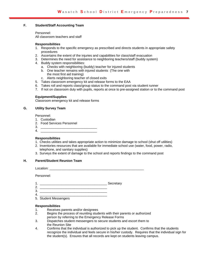#### F. **Student/Staff Accounting Team**

Personnel:

All classroom teachers and staff

#### **Responsibilities**

- 1. Responds to the specific emergency as prescribed and directs students in appropriate safety procedures
- 2. Ascertains the extent of the injuries and capabilities for class/staff evacuation
- 3. Determines the need for assistance to neighboring teachers/staff (buddy system)
- 4. Buddy system responsibilities:
	- a. Checks with neighboring (buddy) teacher for injured students
	- b. One teacher remains with injured students (The one with the most first aid training)
	- c. Alerts neighboring teacher of closed exits
- 5. Takes classroom emergency kit and release forms to the EAA
- 6. Takes roll and reports class/group status to the command post via student runner
- 7. If not on classroom duty with pupils, reports at once to pre-assigned station or to the command post

#### **Equipment/Supplies**

Classroom emergency kit and release forms

#### **Utility Survey Team** G.

Personnel:

- 1. Custodian
- 2. Food Services Personnel
- 
- 

#### **Responsibilities**

- 1. Checks utilities and takes appropriate action to minimize damage to school (shut off utilities)
- 2. Inventories resources that are available for immediate school use (water, food, power, radio, telephone, and sanitary supplies)
- 3. Surveys the extent of damage to the school and reports findings to the command post

#### Η. **Parent/Student Reunion Team**

**Location: Containers Containers Containers Containers Containers Containers** 

Personnel:

- 
- $3.$
- $4.$
- 5. Student Messengers

#### **Responsibilities**

- Receives parents and/or designees  $1.$
- Begins the process of reuniting students with their parents or authorized  $2.$ person by referring to the Emergency Release Forms
- 3. Dispatches student messengers to secure students and escort them to the Reunion Site
- 4. Confirms that the individual is authorized to pick up the student. Confirms that the students recognize the individual and feels secure in his/her custody. Requires that the individual sign for the student(s). Ensures that all records are kept on students leaving campus.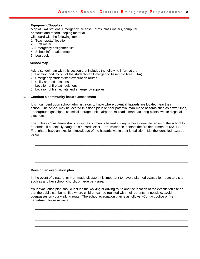#### **Equipment/Supplies**

Map of EAA stations, Emergency Release Forms, class rosters, computer printouts and record keeping material

- Clipboard with the following items: 1. Teacher/staff location
- 2. Staff roster
- 
- 3. Emergency assignment list
- 4. School information map
- 5. Log book

#### **I. School Map**

Add a school map with this section that includes the following information:

- 1. Location and lay out of the student/staff Emergency Assembly Area (EAA)
- 2. Emergency student/staff evacuation routes
- 3. Utility shut-off locations
- 4. Location of fire extinguishers
- 5. Location of first aid kits and emergency supplies

#### **J. Conduct a community hazard assessment**

It is incumbent upon school administrators to know where potential hazards are located near their school. The school may be located in a flood plain or near potential man-made hazards such as power lines, underground gas pipes, chemical storage tanks, airports, railroads, manufacturing plants, waste disposal sites, etc.

The School Crisis Team shall conduct a community hazard survey within a one-mile radius of the school to determine if potentially dangerous hazards exist. For assistance, contact the fire department at 654-1411. Firefighters have an excellent knowledge of the hazards within their jurisdiction. List the identified hazards below.

\_\_\_\_\_\_\_\_\_\_\_\_\_\_\_\_\_\_\_\_\_\_\_\_\_\_\_\_\_\_\_\_\_\_\_\_\_\_\_\_\_\_\_\_\_\_\_\_\_\_\_\_\_\_\_\_\_\_\_\_\_\_\_\_\_\_\_\_\_\_\_\_\_\_\_\_\_\_\_\_\_\_\_\_ \_\_\_\_\_\_\_\_\_\_\_\_\_\_\_\_\_\_\_\_\_\_\_\_\_\_\_\_\_\_\_\_\_\_\_\_\_\_\_\_\_\_\_\_\_\_\_\_\_\_\_\_\_\_\_\_\_\_\_\_\_\_\_\_\_\_\_\_\_\_\_\_\_\_\_\_\_\_\_\_\_\_\_\_ \_\_\_\_\_\_\_\_\_\_\_\_\_\_\_\_\_\_\_\_\_\_\_\_\_\_\_\_\_\_\_\_\_\_\_\_\_\_\_\_\_\_\_\_\_\_\_\_\_\_\_\_\_\_\_\_\_\_\_\_\_\_\_\_\_\_\_\_\_\_\_\_\_\_\_\_\_\_\_\_\_\_\_\_ \_\_\_\_\_\_\_\_\_\_\_\_\_\_\_\_\_\_\_\_\_\_\_\_\_\_\_\_\_\_\_\_\_\_\_\_\_\_\_\_\_\_\_\_\_\_\_\_\_\_\_\_\_\_\_\_\_\_\_\_\_\_\_\_\_\_\_\_\_\_\_\_\_\_\_\_\_\_\_\_\_\_\_\_ \_\_\_\_\_\_\_\_\_\_\_\_\_\_\_\_\_\_\_\_\_\_\_\_\_\_\_\_\_\_\_\_\_\_\_\_\_\_\_\_\_\_\_\_\_\_\_\_\_\_\_\_\_\_\_\_\_\_\_\_\_\_\_\_\_\_\_\_\_\_\_\_\_\_\_\_\_\_\_\_\_\_\_\_

#### **K. Develop an evacuation plan**

In the event of a natural or man-made disaster, it is important to have a planned evacuation route to a site such as another school, church, or large park area.

Your evacuation plan should include the walking or driving route and the location of the evacuation site so that the public can be notified where children can be reunited with their parents. If possible, avoid overpasses on your walking route. The school evacuation plan is as follows: (Contact police or fire department for assistance)

\_\_\_\_\_\_\_\_\_\_\_\_\_\_\_\_\_\_\_\_\_\_\_\_\_\_\_\_\_\_\_\_\_\_\_\_\_\_\_\_\_\_\_\_\_\_\_\_\_\_\_\_\_\_\_\_\_\_\_\_\_\_\_\_\_\_\_\_\_\_\_\_\_\_\_\_\_\_\_\_\_\_\_\_ \_\_\_\_\_\_\_\_\_\_\_\_\_\_\_\_\_\_\_\_\_\_\_\_\_\_\_\_\_\_\_\_\_\_\_\_\_\_\_\_\_\_\_\_\_\_\_\_\_\_\_\_\_\_\_\_\_\_\_\_\_\_\_\_\_\_\_\_\_\_\_\_\_\_\_\_\_\_\_\_\_\_\_\_ \_\_\_\_\_\_\_\_\_\_\_\_\_\_\_\_\_\_\_\_\_\_\_\_\_\_\_\_\_\_\_\_\_\_\_\_\_\_\_\_\_\_\_\_\_\_\_\_\_\_\_\_\_\_\_\_\_\_\_\_\_\_\_\_\_\_\_\_\_\_\_\_\_\_\_\_\_\_\_\_\_\_\_\_ \_\_\_\_\_\_\_\_\_\_\_\_\_\_\_\_\_\_\_\_\_\_\_\_\_\_\_\_\_\_\_\_\_\_\_\_\_\_\_\_\_\_\_\_\_\_\_\_\_\_\_\_\_\_\_\_\_\_\_\_\_\_\_\_\_\_\_\_\_\_\_\_\_\_\_\_\_\_\_\_\_\_\_\_ \_\_\_\_\_\_\_\_\_\_\_\_\_\_\_\_\_\_\_\_\_\_\_\_\_\_\_\_\_\_\_\_\_\_\_\_\_\_\_\_\_\_\_\_\_\_\_\_\_\_\_\_\_\_\_\_\_\_\_\_\_\_\_\_\_\_\_\_\_\_\_\_\_\_\_\_\_\_\_\_\_\_\_\_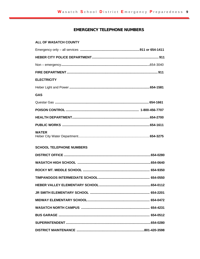# **EMERGENCY TELEPHONE NUMBERS**

### ALL OF WASATCH COUNTY

| <b>ELECTRICITY</b>              |  |
|---------------------------------|--|
|                                 |  |
| <b>GAS</b>                      |  |
|                                 |  |
|                                 |  |
|                                 |  |
|                                 |  |
| <b>WATER</b>                    |  |
| <b>SCHOOL TELEPHONE NUMBERS</b> |  |
|                                 |  |
|                                 |  |
|                                 |  |
|                                 |  |
|                                 |  |
|                                 |  |
|                                 |  |
|                                 |  |
|                                 |  |
|                                 |  |
|                                 |  |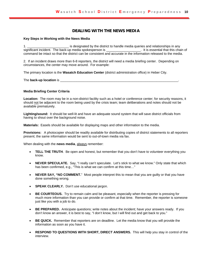#### **DEALING WITH THE NEWS MEDIA**

#### **Key Steps in Working with the News Media**

1. \_\_\_\_\_\_\_\_\_\_\_\_\_\_\_\_\_\_\_\_\_\_\_ is designated by the district to handle media queries and relationships in any significant incident. The back-up media spokesperson is \_\_\_\_\_\_\_\_\_\_\_\_\_\_\_\_\_\_\_\_\_. It is essential that this chain of command be intact so that the district can be consistent and accurate in the information released to the media.

2. If an incident draws more than 6-8 reporters, the district will need a media briefing center. Depending on circumstances, the center may move around. For example:

The primary location is the **Wasatch Education Center** (district administration office) in Heber City.

The **back-up location** is

#### **Media Briefing Center Criteria**

**Location:** The room may be in a non-district facility such as a hotel or conference center; for security reasons, it should not be adjacent to the room being used by the crisis team; team deliberations and notes should not be available prematurely.

**Lighting/sound:** It should be well-lit and have an adequate sound system that will save district officials from having to shout over the background noise.

**Materials:** Easels should be available for displaying maps and other information to the media.

**Provisions:** A photocopier should be readily available for distributing copies of district statements to all reporters present; the same information would be sent to out-of-town media via fax.

When dealing with the **news media**, always remember:

- **TELL THE TRUTH**. Be open and honest, but remember that you don't have to volunteer everything you know.
- **NEVER SPECULATE.** Say, "I really can't speculate. Let's stick to what we know." Only state that which has been confirmed, e.g., "This is what we can confirm at this time…"
- NEVER SAY, "NO COMMENT." Most people interpret this to mean that you are quilty or that you have done something wrong.
- **SPEAK CLEARLY.** Don't use educational jargon.
- **BE COURTEOUS.** Try to remain calm and be pleasant, especially when the reporter is pressing for much more information than you can provide or confirm at that time. Remember, the reporter is someone just like you with a job to do.
- **BE PREPARED.** Anticipate questions; write notes about the incident; have your answers ready. If you don't know an answer, it is best to say, "I don't know, but I will find out and get back to you."
- **BE QUICK.** Remember that reporters are on deadline. Let the media know that you will provide the information as soon as you have it.
- **RESPOND TO QUESTIONS WITH SHORT, DIRECT ANSWERS.** This will help you stay in control of the interview.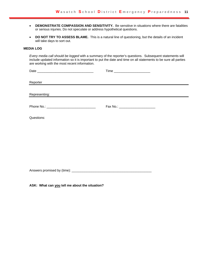- **DEMONSTRATE COMPASSION AND SENSITIVITY.** Be sensitive in situations where there are fatalities or serious injuries. Do not speculate or address hypothetical questions.
- **DO NOT TRY TO ASSESS BLAME.** This is a natural line of questioning, but the details of an incident will take days to sort out.

#### **MEDIA LOG**

*Every media call should be logged* with a summary of the reporter's questions. Subsequent statements will include updated information so it is important to put the date and time on all statements to be sure all parties are working with the most recent information.

| Reporter      |                                    |
|---------------|------------------------------------|
| Representing: |                                    |
|               | Fax No.: _________________________ |
| Questions:    |                                    |
|               |                                    |
|               |                                    |
|               |                                    |

Answers promised by (time): \_\_\_\_\_\_\_\_\_\_\_\_\_\_\_\_\_\_\_\_\_\_\_\_\_\_\_\_\_\_\_\_\_\_\_\_\_\_\_\_\_\_\_\_

**ASK: What can you tell me about the situation?**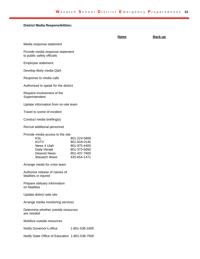### **District Media Responsibilities:**

|                                                                                                                                     |                                                                                              | <b>Name</b> | <b>Back-up</b> |
|-------------------------------------------------------------------------------------------------------------------------------------|----------------------------------------------------------------------------------------------|-------------|----------------|
| Media response statement                                                                                                            |                                                                                              |             |                |
| Provide media response statement<br>to public safety officials                                                                      |                                                                                              |             |                |
| Employee statement                                                                                                                  |                                                                                              |             |                |
| Develop likely media Q&A                                                                                                            |                                                                                              |             |                |
| Response to media calls                                                                                                             |                                                                                              |             |                |
| Authorized to speak for the district                                                                                                |                                                                                              |             |                |
| Request involvement of the<br>Superintendent                                                                                        |                                                                                              |             |                |
| Update information from on-site team                                                                                                |                                                                                              |             |                |
| Travel to scene of incident                                                                                                         |                                                                                              |             |                |
| Conduct media briefing(s)                                                                                                           |                                                                                              |             |                |
| Recruit additional personnel                                                                                                        |                                                                                              |             |                |
| Provide media access to the site<br><b>KSL</b><br><b>KUTV</b><br>News 4 Utah<br>Daily Herald<br><b>Deseret News</b><br>Wasatch Wave | 801-224-5806<br>801-818-0140<br>801-975-4400<br>801-373-5050<br>801-437-7600<br>435-654-1471 |             |                |
| Arrange meals for crisis team                                                                                                       |                                                                                              |             |                |
| Authorize release of names of<br>fatalities or injured                                                                              |                                                                                              |             |                |
| Prepare obituary information<br>on fatalities                                                                                       |                                                                                              |             |                |
| Update district web site                                                                                                            |                                                                                              |             |                |
| Arrange media monitoring services                                                                                                   |                                                                                              |             |                |
| Determine whether outside resources<br>are needed                                                                                   |                                                                                              |             |                |
| Mobilize outside resources                                                                                                          |                                                                                              |             |                |
| Notify Governor's office                                                                                                            | 1-801-538-1000                                                                               |             |                |
| Notify State Office of Education 1-801-538-7500                                                                                     |                                                                                              |             |                |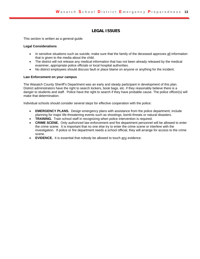# **LEGAL ISSUES**

This section is written as a general guide.

#### **Legal Considerations**

- In sensitive situations such as suicide, make sure that the family of the deceased approves all information that is given to the media about the child.
- The district will not release any medical information that has not been already released by the medical examiner, appropriate police officials or local hospital authorities.
- No district employees should discuss fault or place blame on anyone or anything for the incident.

#### **Law Enforcement on your campus**

The Wasatch County Sheriff's Department was an early and steady participant in development of this plan. District administrators have the right to search lockers, book bags, etc. if they reasonably believe there is a danger to students and staff. Police have the right to search if they have probable cause. The police officer(s) will make that determination.

Individual schools should consider several steps for effective cooperation with the police:

- **EMERGENCY PLANS.** Design emergency plans with assistance from the police department; include planning for major life-threatening events such as shootings, bomb threats or natural disasters.
- **TRAINING.** Train school staff in recognizing when police intervention is required.
- **CRIME SCENE.** Only authorized law enforcement and fire department personnel will be allowed to enter the crime scene. It is important that no one else try to enter the crime scene or interfere with the investigation. If police or fire department needs a school official, they will arrange for access to the crime scene.
- **EVIDENCE.** It is essential that nobody be allowed to touch any evidence.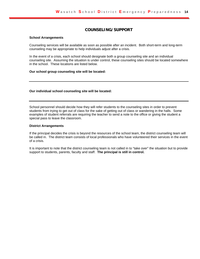#### **COUNSELING/SUPPORT**

#### **School Arrangements**

Counseling services will be available as soon as possible after an incident. Both short-term and long-term counseling may be appropriate to help individuals adjust after a crisis.

In the event of a crisis, each school should designate both a group counseling site and an individual counseling site. Assuming the situation is under control, these counseling sites should be located somewhere in the school. These locations are listed below.

#### **Our school group counseling site will be located:**

#### **Our individual school counseling site will be located:**

School personnel should decide how they will refer students to the counseling sites in order to prevent students from trying to get out of class for the sake of getting out of class or wandering in the halls. Some examples of student referrals are requiring the teacher to send a note to the office or giving the student a special pass to leave the classroom.

#### **District Arrangements**

If the principal decides the crisis is beyond the resources of the school team, the district counseling team will be called in. The district team consists of local professionals who have volunteered their services in the event of a crisis.

It is important to note that the district counseling team is not called in to "take over" the situation but to provide support to students, parents, faculty and staff. **The principal is still in control.**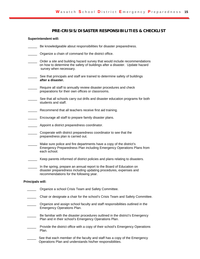#### PRE-CRISIS/DISASTER RESPONSIBILITIES & CHECKLIST

#### **Superintendent will:**

- Be knowledgeable about responsibilities for disaster preparedness.
- Organize a chain of command for the district office.
- \_ Order a site and building hazard survey that would include recommendations on how to determine the safety of buildings after a disaster. Update hazard survey when necessary.
- See that principals and staff are trained to determine safety of buildings after a disaster.
- Require all staff to annually review disaster procedures and check preparations for their own offices or classrooms.
- See that all schools carry out drills and disaster education programs for both students and staff.
- Recommend that all teachers receive first aid training.
- Encourage all staff to prepare family disaster plans.
- \_\_\_ Appoint a district preparedness coordinator.
- Cooperate with district preparedness coordinator to see that the preparedness plan is carried out.
- Make sure police and fire departments have a copy of the district's Emergency Preparedness Plan including Emergency Operations Plans from each school.
- Keep parents informed of district policies and plans relating to disasters.
- In the spring, prepare an annual report to the Board of Education on disaster preparedness including updating procedures, expenses and recommendations for the following year.

#### **Principals will:**

- Organize a school Crisis Team and Safety Committee. Chair or designate a chair for the school's Crisis Team and Safety Committee. Organize and assign school faculty and staff responsibilities outlined in the **Emergency Operations Plan.** Be familiar with the disaster procedures outlined in the district's Emergency Plan and in their school's Emergency Operations Plan. Provide the district office with a copy of their school's Emergency Operations Plan.
	- See that each member of the faculty and staff has a copy of the Emergency Operations Plan and understands his/her responsibilities.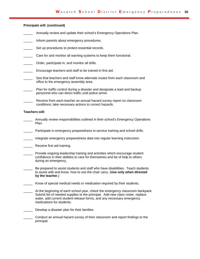#### **Principals will: (continued)**

- Annually review and update their school's Emergency Operations Plan.
- Inform parents about emergency procedures.
- Set up procedures to protect essential records.
- Care for and monitor all warning systems to keep them functional.
- \_\_\_\_\_ Order, participate in, and monitor all drills.
- Encourage teachers and staff to be trained in first aid.
- See that teachers and staff know alternate routes from each classroom and office to the emergency assembly area.
- Plan for traffic control during a disaster and designate a lead and backup personnel who can direct traffic until police arrive.
- Receive from each teacher an annual hazard survey report on classroom conditions; take necessary actions to correct hazards.

#### **Teachers will:**

- Annually review responsibilities outlined in their school's Emergency Operations Plan.
- Participate in emergency preparedness in-service training and school drills.
- \_\_\_\_\_ Integrate emergency preparedness data into regular learning instruction.
- \_\_\_\_\_ Receive first aid training.
- Provide ongoing leadership training and activities which encourage student confidence in their abilities to care for themselves and be of help to others during an emergency.
- \_\_\_\_\_ Be prepared to assist students and staff who have disabilities. Teach students to assist with and know how to use the chair carry. (**Use only when directed by the teacher.**)
- \_\_\_\_\_ Know of special medical needs or medication required by their students.
- At the beginning of each school year, check the emergency classroom backpack. Submit list of needed supplies to the principal. Add new class roster, replace water, add current student release forms, and any necessary emergency medications for students.
- \_\_\_\_\_ Develop a disaster plan for their families.
- \_\_\_\_\_ Conduct an annual hazard survey of their classroom and report findings to the principal.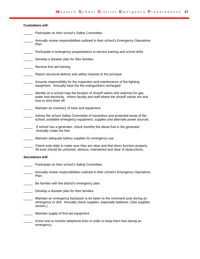#### **Custodians will:**

- Participate on their school's Safety Committee.
- Annually review responsibilities outlined in their school's Emergency Operations Plan.
- Participate in emergency preparedness in-service training and school drills.
- Develop a disaster plan for their families.
- Receive first aid training.
- Report structural defects and safety hazards to the principal.
- Assume responsibility for the inspection and maintenance of fire-fighting equipment. Annually have the fire extinguishers recharged.
- \_\_\_\_\_ Identify on a school map the location of shutoff valves and switches for gas, water and electricity. Inform faculty and staff where the shutoff valves are and how to shut them off.
- Maintain an inventory of tools and equipment.
- \_\_\_\_\_ Advise the school Safety Committee of hazardous and protected areas of the school, available emergency equipment, supplies and alternate power sources.
- If school has a generator, check monthly the diesel fuel in the generator. Annually rotate the fuel.
- Maintain adequate toiletry supplies for emergency use.
- Check exits daily to make sure they are clear and that doors function properly. All exits should be unlocked, obvious, maintained and clear of obstructions.

#### **Secretaries will:**

- Participate on their school's Safety Committee.
- Annually review responsibilities outlined in their school's Emergency Operations Plan.
- \_\_\_\_\_ Be familiar with the district's emergency plan.
- Develop a disaster plan for their families.
- Maintain an emergency backpack to be taken to the command post during an emergency or drill. Annually check supplies, especially batteries. (See supplies section.)
- \_\_\_\_\_ Maintain supply of first aid equipment.
- Know how to monitor telephone lines in order to keep them free during an emergency.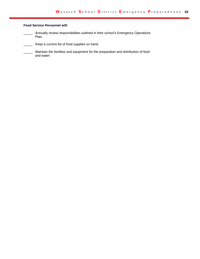#### **Food Service Personnel will:**

Annually review responsibilities outlined in their school's Emergency Operations Plan.

\_ Keep a current list of food supplies on hand.

Maintain the facilities and equipment for the preparation and distribution of food and water.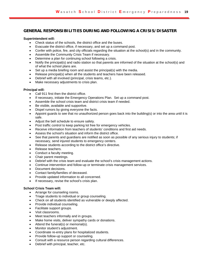#### **GENERAL RESPONSIBILITIES DURING AND FOLLOWING A CRISIS/DISASTER**

#### **Superintendent will:**

- Check status of the schools, the district office and the buses.
- Evacuate the district office, if necessary, and set up a command post.
- Confer with police, fire, and city officials regarding the situation at the school(s) and in the community.
- Assemble the Community Crisis Team if necessary.
- Determine a plan for continuing school following a crisis.
- Notify the principal(s) and radio station so that parents are informed of the situation at the school(s) and  $\bullet$ of what the school plans are.
- Set up a media briefing room and assist the principal(s) with the media.  $\bullet$
- Release principal(s) when all the students and teachers have been released.
- Debrief with all involved (principal, crisis teams, etc.).  $\bullet$
- Make necessary adjustments to crisis plan.

#### **Principal will:**

- Call 911 first then the district office.  $\bullet$
- If necessary, initiate the Emergency Operations Plan. Set up a command post.
- Assemble the school crisis team and district crisis team if needed.
- Be visible, available and supportive.
- Dispel rumors by giving everyone the facts.
- Appoint quards to see that no unauthorized person goes back into the building(s) or into the area until it is safe.
- Adjust the bell schedule to ensure safety.
- Post traffic control to keep parking lot free for emergency vehicles.
- Receive information from teachers of students' conditions and first aid needs.
- Assess the school's situation and inform the district office.
- See that parents and quardians are notified as soon as possible of any serious injury to students; if necessary, send injured students to emergency centers.
- $\bullet$ Release students according to the district office's directive.
- Release teachers.
- Conduct a faculty meeting.
- Chair parent meetings.
- Debrief with the crisis team and evaluate the school's crisis management actions.  $\bullet$
- Continue intervention and follow-up or terminate crisis management services.
- Document decisions.
- Contact family/families of deceased.  $\bullet$
- Provide updated information to all concerned.
- If necessary, revise the school's crisis plan.  $\bullet$

#### **School Crisis Team will:**

- Arrange for counseling rooms.
- Triage students to individual or group counseling.
- Check on all students identified as vulnerable or deeply affected.
- Provide individual counseling.
- Facilitate support groups.  $\bullet$
- Visit classrooms.
- Meet teachers informally and in groups.  $\bullet$
- Make home visits, deliver sympathy cards or donations.
- Attend the funeral(s) or memorial(s).
- Monitor student's adjustment.
- Coordinate re-entry plans for hospitalized students.
- Provide follow-up support or counseling.
- Consult with a resource person regarding cultural differences.  $\bullet$
- Debrief with principal, teacher, etc.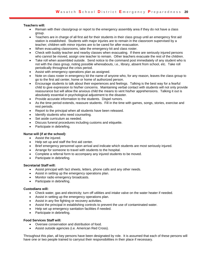#### **Teachers will:**

- Remain with their class/group or report to the emergency assembly area if they do not have a class group.
- Teachers are in charge of all first aid for their students in their class group until an emergency first aid station is established. Students with major injuries are to remain in the classroom supervised by a teacher; children with minor injuries are to be cared for after evacuation.
- When evacuating classrooms, take the emergency kit and class roster.
- Check with buddy teacher and nearby classes when evacuating. If there are seriously injured persons who cannot be moved, assign one teacher to remain. Other teachers evacuate the rest of the children.
- Take roll when assembled outside. Send notice to the command post immediately of any student who is not with the class group, noting possible whereabouts, i.e., library, absent from school, etc. Take roll periodically throughout the crisis period.
- Assist with emergency operations plan as assigned.
- Note on class roster in emergency kit the name of anyone who, for any reason, leaves the class group to go to the first aid center, home or home of authorized person.
- Encourage students to talk about their experiences and feelings. Talking is the best way for a fearful child to give expression to his/her concerns. Maintaining verbal contact with students will not only provide reassurance but will allow the anxious child the means to vent his/her apprehensions. Talking it out is absolutely essential in psychological adjustment to the disaster.
- Provide accurate information to the students. Dispel rumors.
- As the time period extends, reassure students. Fill in the time with games, songs, stories, exercise and rest periods.
- Report to the principal when all students have been released.
- Identify students who need counseling.
- Set aside curriculum as needed.
- Discuss funeral procedures including customs and etiquette.
- Participate in debriefing.

#### **Nurse will (if at the school):**

- Assist the injured.
- Help set up and staff the first aid center.
- Brief emergency personnel upon arrival and indicate which students are most seriously injured.
- Arrange for someone to travel with students to the hospital.
- Complete a referral form to accompany any injured students to be moved.
- Participate in debriefing.

#### **Secretarial Staff will:**

- Assist principal with fact sheets, letters, phone calls and any other needs.
- Assist in setting up the emergency operations plan.
- Monitor radio emergency broadcasts.
- Participate in debriefing.

#### **Custodians will:**

- Check water, gas and electricity; turn off utilities and intake valve on the water heater if needed.
- Assist in setting up the emergency operations plan.
- Assist in any fire fighting or recovery activities.
- Assist the principal in establishing controls to prevent the use of contaminated water.
- Help set up emergency sanitation facilities if needed.
- Participate in debriefing.

#### **Food Services Staff will:**

- Oversee conservation and distribution of food.
- Assist outside agencies (i.e. American Red Cross).

Throughout this plan, all key persons have been designated by role. It is assumed that each of these persons will have one or two people trained to carryout their responsibilities in their place if necessary.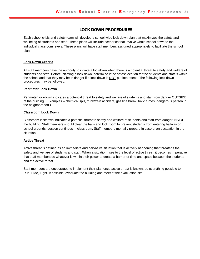#### **LOCK DOWN PROCEDURES**

Each school crisis and safety team will develop a school wide lock down plan that maximizes the safety and wellbeing of students and staff. These plans will include scenarios that involve whole school down to the individual classroom levels. These plans will have staff members assigned appropriately to facilitate the school plan.

#### **Lock Down Criteria**

All staff members have the authority to initiate a lockdown when there is a potential threat to safety and welfare of students and staff. Before initiating a lock down, determine if the safest location for the students and staff is within the school and that they may be in danger if a lock down is NOT put into effect. The following lock down procedures may be followed.

#### **Perimeter Lock Down**

Perimeter lockdown indicates a potential threat to safety and welfare of students and staff from danger OUTSIDE of the building. (Examples – chemical spill, truck/train accident, gas line break, toxic fumes, dangerous person in the neighborhood.)

#### **Classroom Lock Down**

Classroom lockdown indicates a potential threat to safety and welfare of students and staff from danger INSIDE the building. Staff members should clear the halls and lock room to prevent students from entering hallway or school grounds. Lesson continues in classroom. Staff members mentally prepare in case of an escalation in the situation.

#### **Active Threat**

Active threat is defined as an immediate and pervasive situation that is actively happening that threatens the safety and welfare of students and staff. When a situation rises to the level of active threat, it becomes imperative that staff members do whatever is within their power to create a barrier of time and space between the students and the active threat.

Staff members are encouraged to implement their plan once active threat is known, do everything possible to Run, Hide, Fight. If possible, evacuate the building and meet at the evacuation site.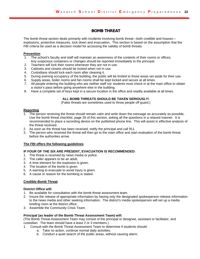#### **BOMB THREAT**

The bomb threat section deals primarily with incidents involving bomb threat—both credible and hoaxes explosions, protective measures, lock down and evacuation. This section is based on the assumption that the FBI criteria be used as a decision model for accessing the validity of bomb threats.

#### **Prevention**

- 1. The school's faculty and staff will maintain an awareness of the contents of their rooms or offices. Any suspicious containers or changes should be reported immediately to the principal.
- 2. Teachers will lock their rooms whenever they are not in use.
- 3. Cabinets and closets should be locked when not in use.
- 4. Custodians should lock each room after cleaning it.
- 5. During evening occupancy of the building, the public will be limited to those areas set aside for their use.
- 6. Supply areas, boiler rooms and fan rooms shall be kept locked and secure at all times.
- 7. All people entering the building who are neither staff nor students must check in at the main office to obtain a visitor's pass before going anywhere else in the building.
- 8. Have a complete set of keys kept in a secure location in the office and readily available at all times.

#### **ALL BOMB THREATS SHOULD BE TAKEN SERIOUSLY!**

(False threats are sometimes used to throw people off guard.)

#### **Reporting**

- 1. The person receiving the threat should remain calm and write down the message as accurately as possible. Use the bomb threat checklist, page 26 of this section, asking all the questions in a relaxed manner. It is recommended to place a recording device on the published phone line. This will assist in effective analysis of the threat received.
- 2. As soon as the threat has been received, notify the principal and call 911.
- 3. The person who received the threat will then go to the main office and start evaluation of the bomb threat before the authorities arrive.

#### **The FBI offers the following guidelines**

#### **IF FOUR OF THE SIX ARE PRESENT, EVACUATION IS RECOMMENDED:**

- 1. The threat is received by news media or police.
- 2. The caller appears to be an adult.
- 3. A time element for the explosion is given.
- 4. The location of the bomb is given.
- 5. A warning to evacuate to avoid injury is given.
- 6. A cause or reason for the bombing is stated.

#### **Credible Bomb Threat**

#### **District Office will:**

- 1. Be available for consultation with the bomb threat assessment team.
- 2. Insure the release of appropriate information by having only the designated spokesperson release information to the news media and other seeking information. The district's media spokesperson will set up a media briefing room at the district office.
- 3. Assemble the Community Crisis Team.

#### **Principal (as leader of the Bomb Threat Assessment Team) will:**

(The Bomb Threat Assessment Team may consist of the principal or designee, assistant or facilitator, and custodian. The team should have a least 2 or 3 members.)

- 1. Consult with the Bomb Threat Assessment Team to determine if students should:
	- a. Take no action, continue normal daily activities.
	- b. Conduct a quiet search of the public areas, without causing alarm.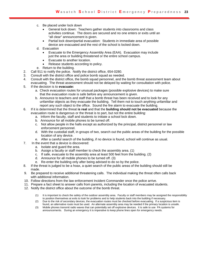- c. Be placed under lock down
	- General lock down: Teachers gather students into classrooms and class activities continue. The doors are secured and no one enters or exits until an "all clear" announcement is given.
	- Partial lock down/partial evacuation: Students in immediate area of possible device are evacuated and the rest of the school is locked down.
- d. Evacuation
	- Evacuate to the Emergency Assembly Area (EAA). Evacuation may include just the area or building threatened or the entire school campus.
	- Evacuate to another location.
	- Release students according to policy.
- e. Return to the building.
- 2. Call 911 to notify the police. Notify the district office, 654-0280.
- 3. Consult with the district office and police bomb squad as needed.
- 4. Consult with the district office, the bomb squad personnel, and the bomb threat assessment team about
- evacuating. The threat assessment should not be delayed by waiting for consultation with police.
- 5. If the decision is to **evacuate:**
	- a. Check evacuation routes for unusual packages (possible explosive devices) to make sure that the evacuation route is safe before any announcement is given.
	- b. Announce to teachers and staff that a bomb threat has been received and to look for any unfamiliar objects as they evacuate the building. Tell them not to touch anything unfamiliar and report any such object to the office. Sound the fire alarm to evacuate the building.
- 6. If it is determined that the threat **is real** and that the **building should not be evacuated** because the evacuation route is dangerous or the threat is to part, but not the entire building:
	- a. Inform the faculty, staff and students to initiate a school lock down.
	- b. Announce for all mobile phones to be turned off.
	- c. Not allow people in the halls except as authorized by the principal, district personnel or law enforcement personnel.
	- d. With the custodial staff, in groups of two, search out the public areas of the building for the possible location of any device.
	- e. After a careful search of the building, if no device is found, school will continue as usual.
- 7. In the event that a device is discovered:
	- a. Isolate and guard the area.
	- b. Assign a faculty or staff member to check the assembly area. (1)
	- c. If safe, evacuate to the assembly area at least 500 feet from the building. (2)
	- d. Announce for all mobile phones to be turned off. (3)
	- e. Re-enter the building only after being advised to do so by the police.
- 8. If the threat is judged to be a hoax, a quiet search of the public areas of the building should still be made.
- 9. Be prepared to receive additional threatening calls. The individual making the threat often calls back with additional information.
- 10. Follow directions from the law enforcement Incident Commander once the police arrive.
- 11. Prepare a fact sheet to answer calls from parents, including the location of evacuated students.
- 12. Notify the district office about the outcome of the bomb threat.
	- (1) It is important to check the safety of the outdoor assembly area. Faculty or staff members may be assigned the responsibility to position themselves at exits to look for problems and to help students back into the building if necessary.
	- (2) Due to the risk of secondary devices, the evacuation routes must be checked before evacuating. If a suspicious item is found, an alternative route must be used. An alternate assembly area may be needed if the primary location is unsafe.
	- (3) Mobile phones transmit radio waves that can potentially set off explosive devices. It is safe to use PA systems for announcements. During an emergency it is imperative to keep phone lines open for emergency needs.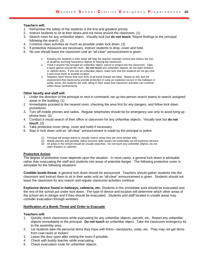#### **Teachers will:**

- 1. Remember the safety of the students is the first and greatest priority.
- 2. Instruct students to sit at their desks and not move around the classroom. (1)
- 3. Search room for any unfamiliar object. Visually look but **do not touch**. Report findings to the principal following the search. (2)
- 4. Continue class activities as much as possible under lock down. (3)
- 5. If protective measures are necessary, instruct students to drop, cover and hold.
- 6. No one should leave the classroom until an "all-clear" announcement is given.
	- 1. Keeping the students in their seats will help the teacher maintain control and reduce the risk of students touching hazardous objects or leaving the classroom.
	- 2. Think if anyone has brought an unfamiliar object, parcel or project into the classroom. Take a quick glance around the room. **Do not touch** any unfamiliar objects; do not open drawers or cabinet doors. If you see an unfamiliar object, make sure that the students do not get near it and move them to another location.
	- 3. Statistics have shown that over 95% of all bomb threats are false. Based on this and the assessment that classrooms provide protection in case an explosion occurs in the hallways or public areas, the students are safe sitting in their seats and classroom activities can continue within these confinements.

#### **Other faculty and staff will:**

- 1. Under the direction of the principal or next in command, set up two-person search teams to search assigned areas in the building. (1)
- 2. Immediately proceed to the nearest room, checking the area first for any dangers, and follow lock down procedures.
- 3. Turn off mobile phones and radios. Regular telephones should be for emergency use only to avoid tying up phone lines. (2)
- 4. Conduct a visual search of their office or classroom for any unfamiliar objects. Visually look but **do not touch**. (3)
- 5. Take protective cover (drop, cover and hold) if necessary.
- 6. Stay in lock down until an "all-clear" announcement is made by the principal or police.
	- Principal will assign teams to visually search areas they are most familiar with.
	- (2) Mobile phones and portable radios transmit radio waves can potentially set off explosive devices.
	- (3) All areas in the school should be visually searched. Do not touch any unfamiliar objects; do not open drawers or cabinets.

#### **Protective Action**

The degree of protective cover depends upon the situation. In most cases, a general lock down is advisable rather than evacuating the staff and students into areas of potential danger. The following protective cover is advisable for the following situations:

**Credible bomb threat:** A general lock down should be announced. Teachers should gather students into the classroom and instruct them to sit in their seats until an "all-clear" announcement is given. Students should not leave the classroom for any reason and regular classroom activities continue.

**Explosive device found in hallways, cafeteria, etc:** Students in the immediate area should be evacuated and the rest of the school put under lock down. The type of device and location will determine which other areas of the school are in danger and if they should be evacuated. Students and staff located in unsafe areas may consider evacuation through windows.

#### **Notification of a Bomb Threat and Order to Evacuate**

#### **Teachers will:**

- 1. Quickly check classrooms while evacuating for any unfamiliar objects, parcels, etc. Report any unfamiliar objects immediately to the principal. **Do not touch** an unfamiliar object. Take the classroom emergency kit to the assembly area.
- 2. Let students take the personal items they have with them—backpacks, coats, etc. They may not get items from coat racks or lockers.
- 3. Leave the door open after exiting the room if possible.
- 4. Check with buddy teacher while evacuating.
- 5. Check evacuation route for unfamiliar objects.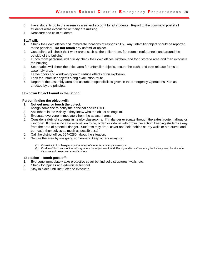- 6. Have students go to the assembly area and account for all students. Report to the command post if all students were evacuated or if any are missing.
- 7. Reassure and calm students.

#### **Staff will:**

- 1. Check their own offices and immediate locations of responsibility. Any unfamiliar object should be reported to the principal. **Do not touch** any unfamiliar object.
- 2. Custodians will check their work areas such as the boiler room, fan rooms, roof, tunnels and around the outside of the building.
- 3. Lunch room personnel will quickly check their own offices, kitchen, and food storage area and then evacuate the building.
- 4. Secretaries will check the office area for unfamiliar objects, secure the cash, and take release forms to assembly area.
- 5. Leave doors and windows open to reduce effects of an explosion.
- 6. Look for unfamiliar objects along evacuation route.
- 7. Report to the assembly area and assume responsibilities given in the Emergency Operations Plan as directed by the principal.

#### **Unknown Object Found in the School**

#### **Person finding the object will:**

- 1. **Not get near or touch the object.**
- 2. Assign someone to notify the principal and call 911.
- 3. Ask others in the vicinity if they know who the object belongs to.
- 4. Evacuate everyone immediately from the adjacent area.
- 5. Consider safety of students in nearby classrooms. If in danger evacuate through the safest route, hallway or windows. If there is no safe evacuation route, order lock down with protective action, keeping students away from the area of potential danger. Students may drop, cover and hold behind sturdy walls or structures and barricade themselves as much as possible. (1)
- 6. Call the district office, 654-0280, about the situation.
- 7. Secure the area by assigning someone to keep others away. (2)
	- (1) Consult with bomb experts on the safety of students in nearby classrooms.
	- (2) Cordon off both ends of the hallway where the object was found. Faculty and/or staff securing the hallway need be at a safe distance and take cover around corners.

#### **Explosion – Bomb goes off:**

- 1. Everyone immediately take protective cover behind solid structures, walls, etc.
- 2. Check for injuries and administer first aid.
- 3. Stay in place until instructed to evacuate.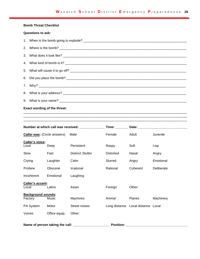#### **Bomb Threat Checklist**

#### **Questions to ask:**

| 8. What is your address? |
|--------------------------|
|                          |

\_\_\_\_\_\_\_\_\_\_\_\_\_\_\_\_\_\_\_\_\_\_\_\_\_\_\_\_\_\_\_\_\_\_\_\_\_\_\_\_\_\_\_\_\_\_\_\_\_\_\_\_\_\_\_\_\_\_\_\_\_\_\_\_\_\_\_\_\_\_\_\_\_\_\_\_\_\_\_\_\_\_\_\_\_\_\_\_\_\_ \_\_\_\_\_\_\_\_\_\_\_\_\_\_\_\_\_\_\_\_\_\_\_\_\_\_\_\_\_\_\_\_\_\_\_\_\_\_\_\_\_\_\_\_\_\_\_\_\_\_\_\_\_\_\_\_\_\_\_\_\_\_\_\_\_\_\_\_\_\_\_\_\_\_\_\_\_\_\_\_\_\_\_\_\_\_\_\_\_\_

#### **Exact wording of the threat:**

| Number at which call was received: ___________ |               |                         |                  | Date: $\_\_$                       |            |
|------------------------------------------------|---------------|-------------------------|------------------|------------------------------------|------------|
| <b>Caller was:</b> (Circle answers)            |               | Male                    | Female           | Adult                              | Juvenile   |
| <b>Caller's voice:</b><br>Loud                 | Deep          | Persistent              | Raspy            | Soft                               | Lisp       |
| Slow                                           | Fast          | <b>Distinct Stutter</b> | <b>Distorted</b> | Nasal                              | Angry      |
| Crying                                         | Laughter      | Calm                    | Slurred          | Angry                              | Emotional  |
| Profane                                        | Obscene       | Irrational              | Rational         | Coherent                           | Deliberate |
| Incoherent                                     | Emotional     | Laughing                |                  |                                    |            |
| <b>Caller's accent:</b><br>Local               | Latino        | Asian                   | Foreign          | Other:                             |            |
| <b>Background sounds:</b><br>Factory           | Music         | <b>Machines</b>         | Animal           | Planes                             | Machinery  |
| PA System                                      | Motor         | Street noises           |                  | Long distance Local distance Local |            |
| Voices                                         | Office equip. | Other:                  |                  |                                    |            |

**Name of person taking the call: \_\_\_\_\_\_\_\_\_\_\_\_\_\_\_\_\_\_\_\_ Position: \_\_\_\_\_\_\_\_\_\_\_\_\_\_\_\_\_\_\_\_\_\_\_\_\_\_\_\_\_\_\_\_\_\_**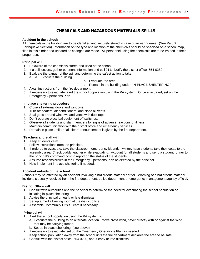#### **CHEMICALS AND HAZARDOUS MATERIALS SPILLS**

#### **Accident in the school:**

All chemicals in the building are to be identified and securely stored in case of an earthquake. (See Part B Earthquake Section) Information on the type and location of the chemicals should be specified on a school map, filed in this binder and updated as changes are made. All personnel using the chemicals are to be trained in their proper use.

#### **Principal will:**

- 1. Be aware of the chemicals stored and used at the school.
- 2. If a spill occurs, gather pertinent information and call 911. Notify the district office, 654-0280.
- 3. Evaluate the danger of the spill and determine the safest action to take:
	- a. a. Evacuate the building
- b. Evacuate the area
- c. Remain in the building under "IN-PLACE SHELTERING."
- 4. Await instructions from the fire department.
- 5. If necessary to evacuate, alert the school population using the PA system. Once evacuated, set up the Emergency Operations Plan.

#### **In-place sheltering procedure**

- 1. Close all external doors and windows.
- 2. Turn off heaters, air conditioners, and close all vents.
- 3. Seal gaps around windows and vents with duct tape.
- 4. Don't operate electrical equipment off switches.
- 5. Observe all students and staff members for signs of adverse reactions or illness.
- 6. Maintain communication with the district office and emergency services.
- 7. Remain in place until an "all-clear" announcement is given by the fire department.

#### **Teachers and staff will:**

- 1. Keep students calm.
- 2. Follow instructions from the principal.
- 3. If ordered to evacuate, take the classroom emergency kit and, if winter, have students take their coats to the assembly area. Check buddy teacher while evacuating. Account for all students and send a student runner to the principal's command post to report on the status of the students.
- 4. Assume responsibilities in the Emergency Operations Plan as directed by the principal.
- 5. Help implement in-place sheltering if needed.

#### **Accident outside of the school:**

Schools may be affected by an accident involving a hazardous material carrier. Warning of a hazardous material incident is usually received from the fire department, police department or emergency management agency official.

#### **District Office will:**

- 1. Consult with authorities and the principal to determine the need for evacuating the school population or initiating in-place sheltering.
- 2. Advise the principal on early or late dismissal.
- 3. Set up a media briefing room at the district office.
- 4. Assemble Community Crisis Team if necessary.

#### **Principal will:**

- 1. Alert the school population using the PA system to:
	- a. Evacuate the building to an alternate location. Move cross wind, never directly with or against the wind that may be carrying fumes.
		- b. Set up in-place sheltering. (see above)
- 2. If necessary to evacuate, set up the Emergency Operations Plan as needed.
- 3. Keep school population away from the school until the fire department declares the area to be safe.
- 4. Consult with the district office, 654-0280, about early or late dismissal.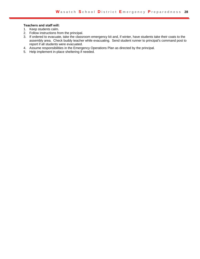#### **Teachers and staff will:**

- 1. Keep students calm.
- 2. Follow instructions from the principal.
- 3. If ordered to evacuate, take the classroom emergency kit and, if winter, have students take their coats to the assembly area. Check buddy teacher while evacuating. Send student runner to principal's command post to report if all students were evacuated.
- 4. Assume responsibilities in the Emergency Operations Plan as directed by the principal.
- 5. Help implement in-place sheltering if needed.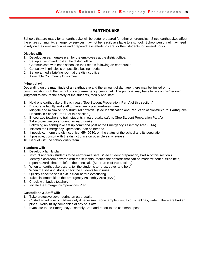# **EARTHQUAKE**

Schools that are ready for an earthquake will be better prepared for other emergencies. Since earthquakes affect the entire community, emergency services may not be readily available to a school. School personnel may need to rely on their own resources and preparedness efforts to care for their students for several hours.

#### **District will:**

- 1. Develop an earthquake plan for the employees at the district office.
- 2. Set up a command post at the district office.
- 3. Communicate with each school on their status following an earthquake.
- 4. Consult with principals on possible busing needs.
- 5. Set up a media briefing room at the district office.
- 6. Assemble Community Crisis Team.

#### **Principal will:**

Depending on the magnitude of an earthquake and the amount of damage, there may be limited or no communication with the district office or emergency personnel. The principal may have to rely on his/her own judgment to ensure the safety of the students, faculty and staff.

- 1. Hold one earthquake drill each year. (See Student Preparation, Part A of this section.)
- 2. Encourage faculty and staff to have family preparedness plans.
- 3. Mitigate and minimize non-structural hazards. (See Identification and Reduction of Nonstructural Earthquake Hazards in Schools Part B of this section.)
- 4. Encourage teachers to train students in earthquake safety. (See Student Preparation Part A)
- 5. Take protective cover during an earthquake.
- 6. Following an earthquake set up command post at the Emergency Assembly Area (EAA).
- 7. Initiated the Emergency Operations Plan as needed.
- 8. If possible, inform the district office, 654-0280, on the status of the school and its population.
- 9. If possible, consult with the district office on possible early release.
- 10. Debrief with the school crisis team.

#### **Teachers will:**

- 1. Develop a family plan.
- 2. Instruct and train students to be earthquake safe. (See student preparation, Part A of this section.)
- 3. Identify classroom hazards with the students, reduce the hazards that can be made without outside help, report hazards that are left to the principal. (See Part B of this section.)
- 4. When an earthquake occurs, tell the students to "drop, cover and hold".
- 5. When the shaking stops, check the students for injuries.
- 6. Quickly check to see if exit is clear before evacuating.
- 7. Take classroom kit to the Emergency Assembly Area (EAA).
- 8. Check with buddy teacher.
- 9. Initiate the Emergency Operations Plan.

#### **Custodians & Staff will:**

- 1. Take protective cover during an earthquake.
- 2. Custodian will turn off utilities only if necessary. For example: gas, if you smell gas; water if there are broken pipes. Notify utility companies of any shut offs.
- 3. Evacuate to the Emergency Assembly Area and report to the command post.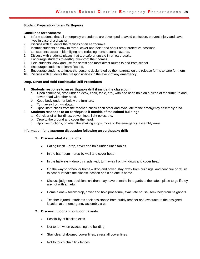#### **Student Preparation for an Earthquake**

#### **Guidelines for teachers:**

- 1. Inform students that all emergency procedures are developed to avoid confusion, prevent injury and save lives in case of a disaster.
- 2. Discuss with students the realities of an earthquake.
- 3. Instruct students on how to "drop, cover and hold" and about other protective positions.
- 4. Let students assist in identifying and reducing nonstructural hazards.
- 5. Discuss with students places that are safe or unsafe in an earthquake.
- 6. Encourage students to earthquake-proof their homes.
- 7. Help students know and use the safest and most direct routes to and from school.
- 8. Encourage students to learn first aid.
- 9. Encourage students to know the persons designated by their parents on the release forms to care for them.
- 10. Discuss with students their responsibilities in the event of any emergency.

#### **Drop, Cover and Hold Earthquake Drill Procedures**

#### 1. **Students response to an earthquake drill if inside the classroom**

- a. Upon command, drop under a desk, chair, table, etc., with one hand hold on a piece of the furniture and cover head with other hand.
- b. Keep body under or below the furniture.
- c. Turn away from windows.
- d. Upon instructions from the teacher, check each other and evacuate to the emergency assembly area.
- 2. **Students response to an earthquake if outside of the school buildings**
	- a. Get clear of all buildings, power lines, light poles, etc.
	- b. Drop to the ground and cover the head.
	- c. Upon instructions, or when the shaking stops, move to the emergency assembly area.

#### **Information for classroom discussion following an earthquake drill:**

#### **1. Discuss what if situations:**

- Eating lunch drop, cover and hold under lunch tables.
- $\bullet$  In the bathroom drop by wall and cover head.
- In the hallways drop by inside wall, turn away from windows and cover head.
- On the way to school or home drop and cover, stay away from buildings, and continue or return to school if that's the closest location and if no one is home.
- Discuss judgment decisions children may have to make in regards to the safest place to go if they are not with an adult.
- Home alone follow drop, cover and hold procedure, evacuate house, seek help from neighbors.
- Teacher injured students seek assistance from buddy teacher and evacuate to the assigned location at the emergency assembly area.

#### **2. Discuss indoor and outdoor hazards:**

- Possibility of blocked exits
- Not to run when evacuating the building
- Stay clear of downed power lines, stress all power lines
- Not to touch chain link fences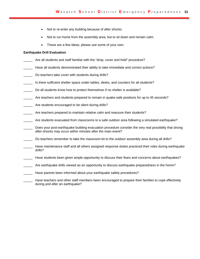- Not to re-enter any building because of after shocks
- Not to run home from the assembly area, but to sit down and remain calm.
- These are a few ideas; please use some of your own.

#### **Earthquake Drill Evaluation**

- Are all students and staff familiar with the "drop, cover and hold" procedure?
- Have all students demonstrated their ability to take immediate and correct actions?
- \_\_\_\_\_ Do teachers take cover with students during drills?
- Is there sufficient shelter space under tables, desks, and counters for all students?
- Do all students know how to protect themselves if no shelter is available?
- Are teachers and students prepared to remain in quake-safe positions for up to 45 seconds?
- Are students encouraged to be silent during drills?
- \_\_\_\_\_ Are teachers prepared to maintain relative calm and reassure their students?
- \_\_\_\_\_ Are students evacuated from classrooms to a safe outdoor area following a simulated earthquake?
- Does your post-earthquake building evacuation procedure consider the very real possibility that strong after-shocks may occur within minutes after the main event?
- Do teachers remember to take the classroom kit to the outdoor assembly area during all drills?
- Have maintenance staff and all others assigned response duties practiced their roles during earthquake drills?
- \_\_\_\_\_ Have students been given ample opportunity to discuss their fears and concerns about earthquakes?
- \_\_\_\_\_ Are earthquake drills viewed as an opportunity to discuss earthquake preparedness in the home?
- \_\_\_\_\_ Have parents been informed about your earthquake safety procedures?
- Have teachers and other staff members been encouraged to prepare their families to cope effectively during and after an earthquake?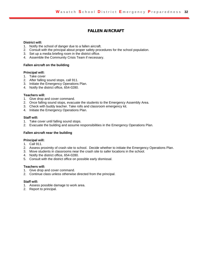# **FALLEN AIRCRAFT**

#### **District will:**

- 1. Notify the school of danger due to a fallen aircraft.
- 2. Consult with the principal about proper safety procedures for the school population.
- 3. Set up a media briefing room in the district office.
- 4. Assemble the Community Crisis Team if necessary.

#### **Fallen aircraft on the building**

#### **Principal will:**

- 1. Take cover
- 2. After falling sound stops, call 911.
- 3. Initiate the Emergency Operations Plan.
- 4. Notify the district office, 654-0280.

#### **Teachers will:**

- 1. Give drop and cover command.
- 2. Once falling sound stops, evacuate the students to the Emergency Assembly Area.
- 3. Check with buddy teacher. Take rolls and classroom emergency kit.
- 4. Initiate the Emergency Operations Plan.

#### **Staff will:**

- 1. Take cover until falling sound stops.
- 2. Evacuate the building and assume responsibilities in the Emergency Operations Plan.

#### **Fallen aircraft near the building**

#### **Principal will:**

- 1. Call 911.
- 2. Assess proximity of crash site to school. Decide whether to initiate the Emergency Operations Plan.
- 3. Move students in classrooms near the crash site to safer locations in the school.
- 4. Notify the district office, 654-0280.
- 5. Consult with the district office on possible early dismissal.

#### **Teachers will:**

- 1. Give drop and cover command.
- 2. Continue class unless otherwise directed from the principal.

#### **Staff will:**

- 1. Assess possible damage to work area.
- 2. Report to principal.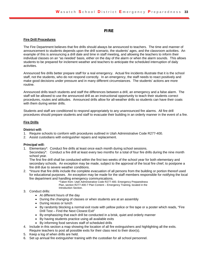#### **FIRE**

#### **Fire Drill Procedures**

The Fire Department believes that fire drills should always be announced to teachers. The time and manner of announcement to students depends upon the drill scenario, the students' ages, and the classroom activities. An example of this is announcing a drill date and time in staff meeting, and allowing the teachers to inform their individual classes on an "as needed' basis, either on the day of the alarm or when the alarm sounds. This allows students to be prepared for inclement weather and teachers to anticipate the scheduled interruption of daily activities.

Announced fire drills better prepare staff for a real emergency. Actual fire incidents illustrate that it is the school staff, not the students, who do not respond correctly. In an emergency, the staff needs to react positively and make good decisions under pressure and in many different circumstances. The students' actions are more routine.

Announced drills teach students and staff the differences between a drill, an emergency and a false alarm. The staff will be allowed to use the announced drill as an instructional opportunity to teach their students correct procedures, routes and attitudes. Announced drills allow for all-weather drills so students can have their coats with them during winter drills.

Students and staff are conditioned to respond appropriately to any unannounced fire alarms. All fire drill procedures should prepare students and staff to evacuate their building in an orderly manner in the event of a fire.

#### **Fire Drills**

#### **District will:**

- 1. Require schools to conform with procedures outlined in Utah Administrative Code R277-400.
- 2. Assist custodians with extinguisher repairs and replacement.

#### **Principal will:**

1. Elementary\*: Conduct fire drills at least once each month during school sessions.

Secondary\*: Conduct a fire drill at least every two months for a total of four fire drills during the nine month school year.

 The first fire drill shall be conducted within the first two weeks of the school year for both elementary and secondary schools. An exception may be made, subject to the approval of the local fire chief, to postpone a fire drill due to severe weather conditions.

2. \*Insure that fire drills include the complete evacuation of all persons from the building or portion thereof used for educational purposes. An exception may be made for the staff members responsible for notifying the local fire department and handling emergency communications.

> \*Taken from: Utah Administrative Code R277-400. Emergency Preparedness Plan, section R277-400-7 Plan Content – Emergency Training, located in the Introduction Section.

#### 3. Conduct drills:

- At different hours of the day
- During the changing of classes or when students are at an assembly
- During recess or lunch
- By randomly blocking a normal exit route with yellow police or fire tape or a poster which reads, "Fire Drill Test – Find the Next Closest Exit"
- By emphasizing that each drill be conducted in a brisk, quiet and orderly manner
- By having students practice using all available exits
- By informing food services staff of scheduled drills
- 4. Include in this section a map showing the location of all fire extinguishers and highlighting all the exits. Require teachers to post all possible exits for their class next to their door(s).
- 5. Keep a log of when drills are held.
- 6. Set up annual fire extinguisher training with the custodian for all school personnel.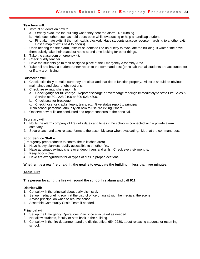#### **Teachers will:**

- 1. Instruct students on how to:
	- a. Orderly evacuate the building when they hear the alarm. No running.
	- b. Help each other, such as hold doors open while evacuating or help a handicap student.
	- c. Find alternate exits, if the main exit is blocked. Have students practice reverse-marching to another exit. Post a map of exits next to door(s).
- 2. Upon hearing the fire alarm, instruct students to line up quietly to evacuate the building. If winter time have them quickly take their coats but not to spend time looking for other things.
- 3. Take the classroom emergency kit.
- 4. Check buddy teacher.
- 5. Have the students go to their assigned place at the Emergency Assembly Area.
- 6. Take roll and have a student runner report to the command post (principal) that all students are accounted for or if any are missing.

#### **Custodian will:**

- 1. Check exits daily to make sure they are clear and that doors function properly. All exits should be obvious, maintained and clear of obstructions.
- 2. Check fire extinguishers monthly:
	- a. Check gauge for full charge. Report discharge or overcharge readings immediately to state Fire Sales & Service at: 801-228-2100 or 800-523-4300.
	- b. Check seal for breakage.
	- c. Check hose for cracks, leaks, tears, etc. Give status report to principal.
- 3. Train school personnel annually on how to use fire extinguishers.
- 4. Observe how drills are conducted and report concerns to the principal.

#### **Secretary will:**

- 1. Notify the alarm company of fire drills dates and times if the school is connected with a private alarm company.
- 2. Secure cash and take release forms to the assembly area when evacuating. Meet at the command post.

#### **Food Service Staff will:**

(Emergency preparedness to control fire in kitchen area)

- 1. Have heavy blankets readily accessible to smother fire.
- 2. Have automatic extinguishers over deep fryers and grills. Check every six months.
- 3. Keep hoods clean.
- 4. Have fire extinguishers for all types of fires in proper locations.

#### **Whether it's a real fire or a drill, the goal is to evacuate the building in less than two minutes.**

#### **Actual Fire**

#### **The person locating the fire will sound the school fire alarm and call 911.**

#### **District will:**

- 1. Consult with the principal about early dismissal.
- 2. Set up media briefing room at the district office or assist with the media at the scene.
- 3. Advise principal on when to resume school.
- 4. Assemble Community Crisis Team if needed.

#### **Principal will:**

- 1. Set up the Emergency Operations Plan once evacuated as needed.
- 2. Not allow students, faculty or staff back in the building.
- 3. Consult with the fire department and the district office, 654-0280, about releasing students or resuming school.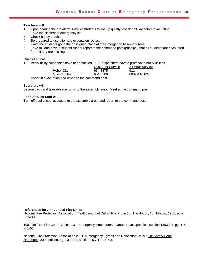#### **Teachers will:**

- 1. Upon hearing the fire alarm, instruct students to line up quietly, check hallway before evacuating.
- 2. Take the classroom emergency kit.
- 3. Check buddy teacher.
- 4. Be prepared to use alternate evacuation routes.
- 5. Have the students go to their assigned place at the Emergency Assembly Area.
- 6. Take roll and have a student runner report to the command post (principal) that all students are accounted for or if any are missing.

#### **Custodian will:**

1. Verify utility companies have been notified. 911 dispatchers have a protocol to notify utilities.

|                                                                                                                                                                                                                               | <b>Customer Service</b> | 24 Hour Service |
|-------------------------------------------------------------------------------------------------------------------------------------------------------------------------------------------------------------------------------|-------------------------|-----------------|
| Heber City                                                                                                                                                                                                                    | 654-3275                | 911             |
| Questar Gas                                                                                                                                                                                                                   | 654-3600                | 800-541-2824    |
| the company of the company of the company of the company of the company of the company of the company of the company of the company of the company of the company of the company of the company of the company of the company |                         |                 |

2. Assist in evacuation and report to the command post.

#### **Secretary will:**

Secure cash and take release forms to the assembly area. Meet at the command post.

#### **Food Service Staff will:**

Turn off appliances, evacuate to the assembly area, and report to the command post.

#### **References for Announced Fire Drills:**

National Fire Protection Association. "Traffic and Exit Drills." Fire Protection Handbook, 16<sup>th</sup> Edition, 1986, pg.s 3.15-3.16.

1987 Uniform Fire Code. "Article 13 – Emergency Procedures." Group E Occupancies, section 1303.3.3. pg. 1-51 to 1-52.

National Fire Protection Association #101, "Emergency Egress and Relocation Drills." Life Safety Code Handbook, 2000 edition, pg. 101-134, section 15.7.1 – 15.7.3.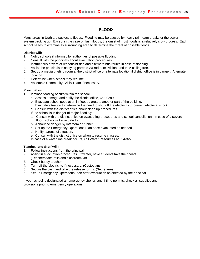#### **FLOOD**

Many areas in Utah are subject to floods. Flooding may be caused by heavy rain, dam breaks or the sewer system backing up. Except in the case of flash floods, the onset of most floods is a relatively slow process. Each school needs to examine its surrounding area to determine the threat of possible floods.

#### **District will:**

- 1. Notify schools if informed by authorities of possible flooding.
- 2. Consult with the principals about evacuation procedures.
- 3. Instruct bus drivers of responsibilities and alternate bus routes in case of flooding.
- 4. Assist the principals in notifying parents via radio, television, and PTA calling tree.
- 5. Set up a media briefing room at the district office or alternate location if district office is in danger. Alternate location:
- 6. Determine when school may resume.
- 7. Assemble Community Crisis Team if necessary.

#### **Principal will:**

- 1. If minor flooding occurs within the school:
	- a. Assess damage and notify the district office, 654-0280.
	- b. Evacuate school population in flooded area to another part of the building.
	- c. Evaluate situation to determine the need to shut off the electricity to prevent electrical shock.
	- d. Consult with the district office about clean up procedures.
- 2. If the school is in danger of major flooding:
	- a. Consult with the district office on evacuating procedures and school cancellation. In case of a severe flood, school will evacuate to:
	- b. Announce danger by intercom or runner.
	- c. Set up the Emergency Operations Plan once evacuated as needed.
	- d. Notify parents of situation.
	- e. Consult with the district office on when to resume classes.
- 3. In case of a water line break occurs, call Water Resources at 654-3275.

#### **Teaches and Staff will:**

- 1. Follow instructions from the principal.
- 2. Assist in evacuation procedures. If winter, have students take their coats. (Teachers take rolls and classroom kit)
- 3. Check buddy teacher.
- 4. Turn off the electricity, if necessary. (Custodians)
- 5. Secure the cash and take the release forms. (Secretaries)
- 6. Set up Emergency Operations Plan after evacuation as directed by the principal.

If your school is designated an emergency shelter, and if time permits, check all supplies and provisions prior to emergency operations.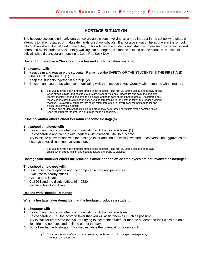#### **HOSTAGE SITUATION**

The hostage section is primarily geared toward an incident involving an armed intruder in the school who takes or attempts to take hostages or makes demands of school officials. If a hostage situation takes place in the school, a lock down should be initiated immediately. This will give the students and staff maximum security behind locked doors and avoid students accidentally walking into a dangerous situation. Based on the situation, the school officials should consider announcing a Code Red Lock Down.

#### **Hostage Situation in a Classroom (teacher and students taken hostage)**

#### **The teacher will:**

- 1. Keep calm and reassure the students. Remember the SAFETY OF THE STUDENTS IS THE FIRST AND GREATEST PRIORITY. (1)
- 2. Keep the students together in a group. (2)
- 3. Be calm and courteous when communicating with the hostage taker. Comply with demands within reason.
	- (1) It is vital to avoid adding further stress to the situation. The first 15-30 minutes are especially critical when stress is high and hostage takers are prone to violence. Reassure and calm the students. Identify mentally strong students to help calm and take care of the other students. Discourage any moves or postures that might be conceived as threatening to the hostage taker and trigger a violent reaction. Be aware of students that might attempt to attack or overpower the hostage taker and discourage any such action.
	- (2) Teaches and students that stick out in a group may be targeted as victims by the hostage taker. Keep the students together in a group as much as possible.

#### **Principal and/or other School Personnel become Hostage(s)**

#### **The school employee will:**

- 1. Be calm and courteous when communicating with the hostage taker. (1)
- 2. Be cooperative and comply with requests within reason. Stall to buy time.
- 3. Try to initiate conversation with the hostage taker and find out what is wanted. If conversation aggravates the hostage taker, discontinue conversation.
	- i. It is vital to avoid adding further stress to the situation. The first 15-30 minutes are especially critical when stress is high and hostage takers are prone to violence.

#### **Hostage taker/intruder enters the principals office and the office employees are not involved as hostages**

#### **The school employees will:**

- 1. Disconnect the telephone and the computer in the principal's office.
- 2. Evacuate to nearby offices.
- 3. Go to a safe location.
- 4. Call 911 and the district office, 654-0280.
- 5. Initiate school lock down.

#### **Dealing with Hostage Demands**

#### **When a hostage taker demands that the hostage produces a student**

#### **The hostage will:**

- 1. Be calm and courteous when communicating with the hostage taker.
- 2. Be cooperative. Tell the hostage taker that you will assist them as much as possible.
- 3. Try to stall for time; state that you are trying to locate the student or that the student and their class are on a field trip and not expected until the end of the day.
- 4. Do not exchange hostages. This may escalate the potential for violence. (1)
	- (1) The true intentions of the hostage taker may not be known. Exchanging hostages may give them an advantage.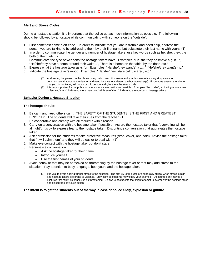#### **Alert and Stress Codes**

During a hostage situation it is important that the police get as much information as possible. The following should be followed by a hostage while communicating with someone on the "outside".

- 1. First name/last name alert code In order to indicate that you are in trouble and need help, address the person you are talking to by addressing them by their first name but substitute their last name with yours. (1)
- 2. In order to communicate the gender and number of hostage takers, use key words such as he, she, they, the both of them, etc. (2)
- 3. Communicate the type of weapons the hostage takers have. Examples: "He/she/they has/have a gun...", "He/she/they have a bomb around their waist...", There is a bomb on the table, by the door, etc."
- 4. Express what the hostage taker asks for. Examples: "He/she/they want(s) a .....", "He/she/they want(s) to."
- 5. Indicate the hostage taker's mood. Examples: "He/she/they is/are calm/scared, etc."
	- (1) Addressing the person on the phone using their correct first name and your last name is a very simple way to communicate that you are in danger and need help without alerting the hostage taker(s). If someone answer the phone that you do not know, ask for a specific person and give them the stress code.
	- (2) It is very important for the police to have as much information as possible. Examples: "he or she", indicating a lone male or female; "them", indicating more than one; "all three of them", indicating the number of hostage takers.

#### **Behavior During a Hostage Situation**

#### **The hostage should:**

- 1. Be calm and keep others calm. THE SAFETY OF THE STUDENTS IS THE FIRST AND GREATEST PRIORITY. The students will take their cues from the teacher. (1)
- 2. Be cooperative and comply with all requests within reason.
- 3. Carry on a conversation with the hostage taker if possible. Assure the hostage taker that "everything will be all right". It's ok to express fear to the hostage taker. Discontinue conversation that aggravates the hostage taker.
- 4. Ask permission for the students to take protective measures (drop, cover, and hold). Advise the hostage taker that "it will calm them" and they will be easier to deal with. (1)
- 5. Make eye contact with the hostage taker but don't stare.
- 6. Personalize conversation.
	- Ask the hostage taker for their name.
	- Introduce yourself.
	- Use the first names of your students.
- 7. Avoid behavior that may be perceived as threatening by the hostage taker or that may add stress to the situation. Pay attention to body language, both yours and the hostage taker.
	- (1) It is vital to avoid adding further stress to the situation. The first 15-30 minutes are especially critical when stress is high and hostage takers are prone to violence. Stay calm so students may follow your example. Discourage any moves or postures that might be conceived as threatening. Be aware of students that might attempt to overpower the hostage taker and discourage any such action.

**The intent is to get the students out of the way in case of police entry, explosion or gunfire.**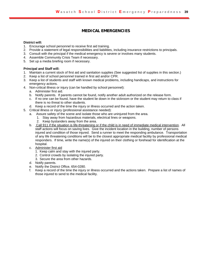# **MEDICAL EMERGENCIES**

#### **District will:**

- 1. Encourage school personnel to receive first aid training.
- 2. Provide a statement of legal responsibilities and liabilities, including insurance restrictions to principals.
- 3. Consult with the principal if the medical emergency is severe or involves many students.
- 4. Assemble Community Crisis Team if necessary.
- 5. Set up a media briefing room if necessary.

#### **Principal and Staff will:**

- 1. Maintain a current stock of first aid and sanitation supplies (See suggested list of supplies in this section.)
- 2. Keep a list of school personnel trained in first aid and/or CPR.
- 3. Keep a list of students and staff with known medical problems, including handicaps, and instructions for emergency actions.
- 4. Non-critical illness or injury (can be handled by school personnel):
	- a. Administer first aid.
	- b. Notify parents. If parents cannot be found, notify another adult authorized on the release form.
	- c. If no one can be found, have the student lie down in the sickroom or the student may return to class if there is no threat to other students.
	- d. Keep a record of the time the injury or illness occurred and the action taken.
- 5. Critical illness or injury (professional assistance needed):
	- a. Assure safety of the scene and isolate those who are uninjured from the area.
		- 1. Stay away from hazardous materials, electrical lines or weapons.
		- 2. Keep bystanders away from the area.
	- b. Call 911 if the situation is life-threatening or if the child is in need of immediate medical intervention. All staff actions will focus on saving lives. Give the incident location in the building, number of persons injured and condition of those injured. Send a runner to meet the responding ambulance. Transportation of any life threatening conditions will be to the closest appropriate medical facility by professional medical responders. If time, write the name(s) of the injured on their clothing or forehead for identification at the hospital.
	- c. Administer first aid
		- 1. Keep calm and stay with the injured party.
		- 2. Control crowds by isolating the injured party.
		- 3. Secure the area from other hazards.
	- d. Notify parents.
	- e. Notify the District Office, 654-0280.
	- f. Keep a record of the time the injury or illness occurred and the actions taken. Prepare a list of names of those injured to send to the medical facility.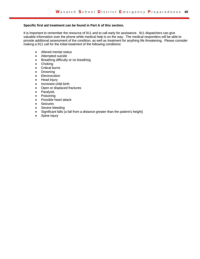#### **Specific first aid treatment can be found in Part A of this section.**

It is important to remember the resource of 911 and to call early for assistance. 911 dispatchers can give valuable information over the phone while medical help is on the way. The medical responders will be able to provide additional assessment of the condition, as well as treatment for anything life threatening. Please consider making a 911 call for the initial treatment of the following conditions:

- Altered mental status
- Attempted suicide
- Breathing difficulty or no breathing
- Choking
- Critical burns
- Drowning
- **•** Electrocution
- Head injury
- Imminent child birth
- Open or displaced fractures
- Paralysis
- Poisoning
- Possible heart attack
- Seizures
- Severe bleeding
- Significant falls (a fall from a distance greater than the patient's height)
- Spine injury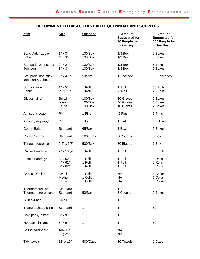# **RECOMMENDED BASIC FIRST AID EQUIPMENT AND SUPPLIES**

| <b>Item</b>                               | <b>Size</b>                                | <b>Quantity</b>                  | <b>Amount</b><br><b>Suggested for</b><br>30 People for<br><b>One Day</b> | <b>Amount</b><br><b>Suggested for</b><br>500 People for<br><b>One Day</b> |
|-------------------------------------------|--------------------------------------------|----------------------------------|--------------------------------------------------------------------------|---------------------------------------------------------------------------|
| Band-Aid, flexible<br>Fabric              | $1" \times 3"$<br>$\frac{3}{4} \times 3$ " | 100/Box<br>100/Box               | $1/3$ Box<br>$1/3$ Box                                                   | 5 Boxes<br>5 Boxes                                                        |
| Steripads, Johnson &<br>Johnson           | $2" \times 2"$<br>$3" \times 3"$           | 100/Box<br>100/Box               | $1/3$ Box<br>$1/3$ Box                                                   | 5 Boxes<br>5 Boxes                                                        |
| Steripads, non-stick<br>Johnson & Johnson | $2" \times 4.5"$                           | 50/Pkg.                          | 1 Package                                                                | 10 Packages                                                               |
| Surgical tape,<br>Fabric                  | $1" \times 5"$<br>$\frac{1}{2}$ " x 10"    | 1 Roll<br>1 Roll                 | 1 Roll<br>$\frac{1}{2}$ Roll                                             | 50 Rolls<br>25 Rolls                                                      |
| Gloves, vinyl                             | Small<br>Medium<br>Large                   | 100/Box<br>100/Box<br>100/Box    | 10 Gloves<br>40 Gloves<br>10 Gloves                                      | 2 Boxes<br>6 Boxes<br>2 Boxes                                             |
| Antiseptic soap                           | Pint                                       | 1 Pint                           | $\frac{1}{2}$ Pint                                                       | 5 Pints                                                                   |
| Alcohol, isopropyl                        | Pint                                       | 1 Pint                           | 1 Pint                                                                   | 100 Pints                                                                 |
| <b>Cotton Balls</b>                       | Standard                                   | 65/Box                           | 1 Box                                                                    | 5 Boxes                                                                   |
| <b>Cotton Swabs</b>                       | Standard                                   | 1000/Box                         | 50 Swabs                                                                 | 1 Box                                                                     |
| Tongue depressor                          | 5.5" x 5/8"                                | 500/Box                          | 30 Blades                                                                | 1 Box                                                                     |
| Gauze Bandage                             | 2" x 10 yd.                                | 1 Roll                           | 1 Roll                                                                   | 50 Rolls                                                                  |
| <b>Elastic Bandage</b>                    | 3" x 62"<br>4" x 62"<br>6" x 62"           | 1 Roll<br>1 Roll<br>1 Roll       | 1 Roll<br>1 Roll<br>1 Roll                                               | 5 Rolls<br>5 Rolls<br>5 Rolls                                             |
| <b>Cervical Collar</b>                    | Small<br>Medium<br>Large                   | 1 Collar<br>1 Collar<br>1 Collar | <b>NA</b><br>ΝA<br><b>NA</b>                                             | 1 Collar<br>1 Collar<br>1 Collar                                          |
| Thermometer, oral<br>Thermometer covers   | Standard<br>Standard                       | 1<br>50/Box                      | 1<br>5 Covers                                                            | 1<br>2 Boxes                                                              |
| <b>Bulb syringe</b>                       | Small                                      | 1                                | 1                                                                        | 5                                                                         |
| Triangle-shape sling                      | Standard                                   | 1                                | 1                                                                        | 50                                                                        |
| Cold pack, instant                        | 6" x 9"                                    | 1                                | 1                                                                        | 50                                                                        |
| Hot pack, instant                         | $6" \times 9"$                             | 1                                | 1                                                                        | 50                                                                        |
| Splint, cardboard                         | Arm 12"<br>Leg 24"                         | 1<br>1                           | <b>NA</b><br><b>NA</b>                                                   | 5<br>5                                                                    |
| Tidy towels                               | 13" x 19"                                  | 500/Case                         | 30 Towels                                                                | 1 Case                                                                    |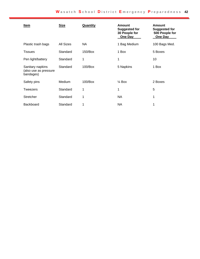| <u>Item</u>                                            | <b>Size</b> | Quantity   | <b>Amount</b><br><b>Suggested for</b><br>30 People for<br><b>One Day</b> | <b>Amount</b><br><b>Suggested for</b><br>500 People for<br>One Day |
|--------------------------------------------------------|-------------|------------|--------------------------------------------------------------------------|--------------------------------------------------------------------|
| Plastic trash bags                                     | All Sizes   | NA         | 1 Bag Medium                                                             | 100 Bags Med.                                                      |
| <b>Tissues</b>                                         | Standard    | 150/Box    | 1 Box                                                                    | 5 Boxes                                                            |
| Pen light/battery                                      | Standard    | 1          | 1                                                                        | 10                                                                 |
| Sanitary napkins<br>(also use as pressure<br>bandages) | Standard    | $100/B$ ox | 5 Napkins                                                                | 1 Box                                                              |
| Safety pins                                            | Medium      | $100/B$ ox | $\frac{1}{4}$ Box                                                        | 2 Boxes                                                            |
| <b>Tweezers</b>                                        | Standard    | 1          | 1                                                                        | 5                                                                  |
| Stretcher                                              | Standard    | 1          | NA                                                                       | 1                                                                  |
| Backboard                                              | Standard    | 1          | ΝA                                                                       |                                                                    |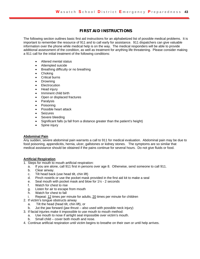# **FIRST AID INSTRUCTIONS**

The following section outlines basic first aid instructions for an alphabetized list of possible medical problems. It is important to remember the resource of 911 and to call early for assistance. 911 dispatchers can give valuable information over the phone while medical help is on the way. The medical responders will be able to provide additional assessment of the condition, as well as treatment for anything life threatening. Please consider making a 911 call for the initial treatment of the following conditions:

- Altered mental status
- Attempted suicide
- Breathing difficulty or no breathing
- Chokina
- Critical burns
- Drowning
- Electrocution
- Head injury
- Imminent child birth
- Open or displaced fractures
- Paralysis
- Poisoning
- Possible heart attack
- Seizures
- Severe bleeding
- Significant falls (a fall from a distance greater than the patient's height)
- Spine injury

#### **Abdominal Pain**

Any sudden, severe abdominal pain warrants a call to 911 for medical evaluation. Abdominal pain may be due to food poisoning, appendicitis, hernia, ulcer, gallstones or kidney stones. The symptoms are so similar that medical assistance should be obtained if the pains continue for several hours. Do not give fluids or food.

#### **Artificial Respiration**

- 1. Steps for mouth to mouth artificial respiration:
	- a. If you are alone, call 911 first in persons over age 8. Otherwise, send someone to call 911.
	- b. Clear airway.
	- c. Tilt head back (use head tilt, chin lift)
	- d. Pinch nostrils or use the pocket mask provided in the first aid kit to make a seal
	- e. Seal mouth with pocket mask and blow for 1½ 2 seconds
	- f. Watch for chest to rise
	- g. Listen for air to escape from mouth
	- h. Watch for chest to fall
	- i. Repeat: 12 times per minute for adults, 20 times per minute for children
- 2. If victim's tongue obstructs airway
	- a. Tilt the head (head tilt, chin lift), or
	- b. Jut the jaw forward (jaw thrust also used with possible neck injury)
- 3. If facial injuries make it impossible to use mouth to mouth method:
	- a. Use mouth to nose if airtight seal impossible over victim's mouth.
	- b. Small child cover both mouth and nose.
- 4. Continue artificial respiration until victim begins to breathe on their own or until help arrives.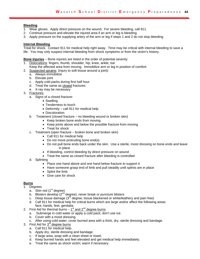#### **Bleeding**

- 1. Wear gloves. Apply direct pressure on the wound. For severe bleeding, call 911.
- 2. Continue pressure and elevate the injured area if an arm or leg is bleeding.
- 3. Apply pressure on the supplying artery of the arm or leg if steps 1 and 2 do not stop bleeding.

#### **Internal Bleeding**

Treat for shock. Contact 911 for medical help right away. Time may be critical with internal bleeding to save a life. You may only suspect internal bleeding from shock symptoms or from the victim's history.

**Bone Injuries** – Bone injuries are listed in the order of potential severity:

- 1. Dislocations: fingers, thumb, shoulder, hip, knee, ankle, toe
- Keep the affected area from moving. Immobilize arm or leg in position of comfort.
- 2. Suspected sprains: (injury to soft tissue around a joint):
	- a. Always immobilize
	- b. Elevate joint
	- c. Apply cold packs during first half hour
	- d. Treat the same as closed fractures
	- e. X-ray may be necessary
- 3. Fractures:
	- a. Signs of a closed fracture:
		- Swelling
		- Tenderness to touch
		- Deformity call 911 for medical help
		- Discoloration
	- b. Treatment (closed fracture no bleeding wound or broken skin)
		- Keep broken bone ends from moving
		- Keep joints above and below the possible fracture from moving
		- Treat for shock
	- c. Treatment (open fracture broken bone and broken skin)
		- Call 911 for medical help
		- Do not move protruding bone end(s)
		- Do not pull bone ends back under the skin. Use a sterile, moist dressing on bone ends and leave in place
		- If bleeding, control bleeding by direct pressure on wound
		- Treat the same as closed fracture after bleeding is controlled
	- d. Splinting
		- Place one hand above and one hand below fracture to support it
		- Have someone grasp end of limb and pull steadily until splints are in place
		- Splint the limb
		- Give care for shock

#### **Burns**

- 1. Degrees
	- a. Skin red  $(1<sup>st</sup>$  degree)
	- b. Blisters develop  $(2^{nd}$  degree); never break or puncture blisters
	- c. Deep tissue damage  $(3<sup>rd</sup>$  degree; tissue blackened or white/leathery and pain free)
	- d. Call 911 for medical help for critical burns which are large and/or affect the following areas: face, hands, feet, genitalia
- 2. First Aid for thermal burns  $-1<sup>st</sup>$  and  $2<sup>nd</sup>$  degree burns
	- a. Submerge in cold water or apply a cold pack; don't use ice.
		- b. Cover with a moist dressing.
	- c. After using cold water, cover burned area with a thick, dry, sterile dressing and bandage.
- 3. First Aid for  $3<sup>rd</sup>$  degree burns
	- a. Call 911 for medical help.
	- b. Apply dry, sterile dressing and bandage.
	- c. If large area, wrap with a clean sheet or towel.
	- d. Keep burned hands and feet elevated and get medical help immediately.
	- e. Treat the same as shock victim; warm if necessary.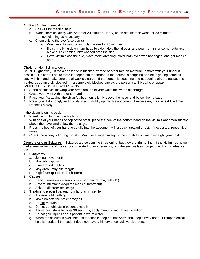- 4. First Aid for chemical burns
	- a. Call 911 for medical help
	- b. Wash chemical away with water for 20 minutes. If dry, brush off first then wash for 20 minutes. Remove clothing as necessary.
	- c. Chemicals to the eye (also burns)
		- Wash eye thoroughly with plain water for 20 minutes.
		- If victim is lying down, turn head to side. Hold the lid open and pour from inner corner outward. Make sure chemical isn't washed onto the skin.
		- Have victim close the eye, place moist dressing, cover both eyes with bandages, and get medical help.

#### **Choking** (Heimlich maneuver)

Call 911 right away. If the air passage is blocked by food or other foreign material, remove with your finger if possible. Be careful not to force it deeper into the throat. If the person is coughing and he is getting some air, stay with him and make sure the airway is cleared. If the person is coughing and not getting air, the passage is treated as completely blocked. In a completely blocked airway, the person can't breathe or speak. IMMEDIATELY DO THE FOLLOWING:

- 1. Stand behind victim; wrap your arms around his/her waist below the diaphragm.
- 2. Grasp your wrist with the other hand.
- 3. Place your fist against the victim's abdomen, slightly above the navel and below the rib cage.
- 4. Press your fist strongly and quickly in and slightly up into his abdomen. If necessary, may repeat five times. Recheck airway.

If the victim is on his back:

- 1. Kneel, facing him, astride his hips.
- 2. With one of your hands on top of the other, place the heel of the bottom hand on the victim's abdomen slightly above the navel and below the rib cage.
- 3. Press the heel of your hand forcefully into the abdomen with a quick, upward thrust. If necessary, repeat five times.
- 4. Check the airway following thrusts. May use a finger sweep of the mouth to victims over eight years old.

**Convulsions or Seizures** – Seizures are seldom life threatening, but they are frightening. If the victim has never had a seizure before, if the seizure is related to another injury, or if the seizure lasts longer than two minutes, call 911.

- 1. Symptoms
	- a. Jerking movements
	- b. Muscular rigidity
	- c. Blue around the lips
	- d. May drool, may bite tongue
	- e. High fever (possible, in children)
- 2. Causes
	- a. Head injuries (more serious sign of brain trauma, call 911)
	- b. Severe infections (requires medical treatment)
	- c. Seizure disorder (epilepsy)
- 3. Treatment: prevent patient from hurting himself by:
	- a. Loosen tight clothing
	- b. Move objects the patient may hit
	- c. Do not restrain
	- d. Do not put objects in patient's mouth
	- e. If breathing stops for over 30 seconds, apply mouth to mouth resuscitation
	- f. Do not give liquids or put patient in warm water
	- g. When the seizure is over, treat as for shock; keep patient warm and keep airway open. Prompt medical help is needed if the patient does not have a history of convulsive disorders.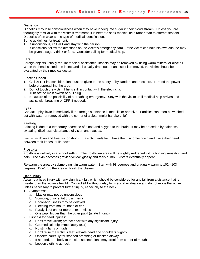#### **Diabetics**

Diabetics may lose consciousness when they have inadequate sugar in their blood stream. Unless you are thoroughly familiar with the victim's treatment, it is better to seek medical help rather than to attempt first aid. Diabetics often wear some type of medical identification.

Some guidelines for treatment:

- 1. If unconscious, call 911 and stay with the person.
- 2. If conscious, follow the directions on the victim's emergency card. If the victim can hold his own cup, he may be given a sugary drink or food. Consider calling for medical help.

#### **Ears**

Foreign objects usually require medical assistance. Insects may be removed by using warm mineral or olive oil. When the head is tilted, the insect and oil usually drain out. If an insect is removed, the victim should be evaluated by their medical doctor.

#### **Electric Shock**

- 1. Call 911. First consideration must be given to the safety of bystanders and rescuers. Turn off the power before approaching the area.
- 2. Do not touch the victim if he is still in contact with the electricity.
- 3. Turn off the main switch or pull plug.
- 4. Be aware of the possibility of a breathing emergency. Stay with the victim until medical help arrives and assist with breathing or CPR if needed.

#### **Eyes**

Contact a physician immediately if the foreign substance is metallic or abrasive. Particles can often be washed out with water or removed with the corner of a clean moist handkerchief.

#### **Fainting**

Fainting is due to a temporary decrease of blood and oxygen to the brain. It may be preceded by paleness, sweating, dizziness, disturbance of vision and nausea.

Lay victim down and treat as for shock. If a victim feels faint, have them sit or lie down and place their head between their knees, or lie down.

#### **Frostbite**

Frostbite is unlikely in a school setting. The frostbitten area will be slightly reddened with a tingling sensation and pain. The skin becomes grayish-yellow, glossy and feels numb. Blisters eventually appear.

Re-warm the area by submerging it in warm water. Start with 98 degrees and gradually warm to 102 –103 degrees. Don't rub the area or break the blisters.

#### **Head Injury**

Assume a head injury with any significant fall, which should be considered for any fall from a distance that is greater than the victim's height. Contact 911 without delay for medical evaluation and do not move the victim unless necessary to prevent further injury, especially to the neck.

- 1. Symptoms:
	- a. May or may not be unconscious
	- b. Vomiting, disorientation, amnesia
	- c. Unconsciousness may be delayed
	- d. Bleeding from mouth, nose or ear
	- e. Paralysis of one or more of extremities
	- f. One pupil bigger than the other pupil (a late finding)
- 2. First aid for head injuries:
	- a. Don't move victim; protect neck with any significant injury
	- b. Get medical help immediately (911)
	- c. No stimulants or fluids
	- d. Don't raise the victim's feet; elevate head and shoulders slightly
	- e. Observe carefully for stopped breathing or blocked airway
	- f. If needed, turn body to the side so secretions may drool from corner of mouth
	- g. Loosen clothing at neck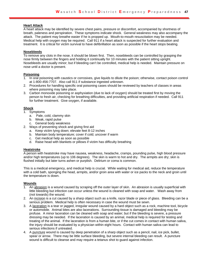#### **Heart Attack**

A heart attack may be identified by severe chest pains, pressure or discomfort, accompanied by shortness of breath, paleness and perspiration. These symptoms indicate shock. General weakness may also accompany the attack. The patient may breathe easier if he is propped up. Mouth-to-mouth resuscitation may be needed. Medical help with oxygen may be required. Call 911 if a heart attack is suspected for further evaluation and treatment. It is critical for victim survival to have defibrillation as soon as possible if the heart stops beating.

#### **Nosebleeds**

To remove any clots in the nose, it should be blown first. Then, nosebleeds can be controlled by grasping the nose firmly between the fingers and holding it continually for 10 minutes with the patient sitting upright. Nosebleeds are usually minor; but if bleeding can't be controlled, medical help is needed. Maintain pressure on nose until a doctor is present.

#### **Poisoning**

- 1. In oral poisoning with caustics or corrosives, give liquids to dilute the poison; otherwise, contact poison control at 1-800-456-7707. Also call 911 if substance ingested unknown.
- 2. Procedures for handling specific oral poisoning cases should be reviewed by teachers of classes in areas where poisoning may take place.
- 3. Carbon monoxide poisoning or asphyxiation (due to lack of oxygen) should be treated first by moving the person to fresh air, checking for breathing difficulties, and providing artificial respiration if needed. Call 911 for further treatment. Give oxygen, if available.

#### **Shock**

- 1. Symptoms
	- a. Pale, cold, clammy skin
	- b. Weak, rapid pulse
	- c. General body weakness
- 2. Ways of preventing shock and giving first aid
	- a. Keep victim lying down; elevate feet 8-12 inches
	- b. Maintain body temperature; cover if cold; uncover if warm
	- c. Get medical help as soon as possible
	- d. Raise head with blankets or pillows if victim has difficulty breathing

#### **Heatstroke**

A person with heatstroke may have nausea, weakness, headache, cramps, pounding pulse, high blood pressure and/or high temperatures (up to 106 degrees). The skin is warm to hot and dry. The armpits are dry; skin is flushed initially but later turns ashen or purplish. Delirium or coma is common.

This is a medical emergency, and medical help is crucial. While waiting for medical aid, reduce the temperature with a cold bath, sponging the head, armpits, and/or groin area with water or ice packs to the neck and groin until the temperature is down.

#### **Wounds**

- 1. An abrasion is a wound caused by scraping off the outer layer of skin. An abrasion is usually superficial with little bleeding but infection can occur unless the wound is cleaned with soap and water. Wash away from (not towards) the wound.
- 2. An incision is a cut caused by a sharp object such as a knife, razor blade or piece of glass. Bleeding can be a serious problem. Medical help is often necessary in case the wound must be sewn.
- 3. A laceration is a tear or jagged, irregular wound caused by a hard object such as a rock, machine tool, bicycle or automobile. Animal bites are also lacerations. Surrounding tissue is damaged and bleeding may be profuse. A minor laceration can be cleaned with soap and water; but if the bleeding is severe, a pressure dressing may be needed. If the laceration is caused by an animal, medical help is required for testing and treating of the animal. If the laceration is from a human bite, or if the cut comes in contact with human saliva, the injury should be evaluated by a physician within eight hours. Contact with human saliva can lead to serious infections if untreated.
- 4. A puncture wound is caused by deep penetration of a sharp object such as a pencil, nail, ice pick, bullet, spear or arrow. There may be little surface bleeding, but severe internal bleeding can result. A puncture wound is difficult to cleanse and may require a tetanus shot to guard against infection.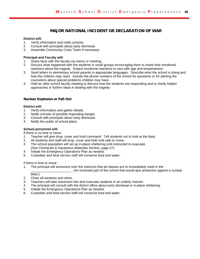#### **MAJOR NATIONAL INCIDENT OR DECLARATION OF WAR**

#### **District will:**

- 1. Verify information and notify schools.
- 2. Consult with principals about early dismissal.
- 3. Assemble Community Crisis Team if necessary.

#### **Principal and Faculty will:**

- 1. Share facts with the faculty via memo or meeting.
- 2. Discuss what happened with the students in small groups encouraging them to share their emotional reactions about the tragedy. Expect emotional reactions to vary with age and temperament.
- 3. Send letters to elementary school parents in appropriate languages. Describe what the school is doing and how the children may react. Include the phone numbers of the school for questions or for alerting the counselors about special problems children may have.
- 4. Hold an after-school faculty meeting to discuss how the students are responding and to clarify helpful approaches or further steps in dealing with the tragedy.

#### **Nuclear Explosion or Fall-Out**

#### **District will:**

- 1. Verify information and gather details.
- 2. Notify schools of possible impending danger.
- 3. Consult with principals about early dismissal.
- 4. Notify the public of school plans.

#### **School personnel will:**

If there is no time to move:

- 1. Teacher will give drop, cover and hold command. Tell students not to look at the blast.
- 2. All students and staff will drop, cover and hold until safe to move.
- 3. The school population will set up in-place sheltering until instructed to evacuate. (See Chemicals & Hazardous Materials Section, page 27)
- 4. Initiate the Emergency Operations Plan as needed.
- 5. Custodian and food service staff will conserve food and water.

If there is time to move:

1. The principal will announce over the intercom that all classes are to immediately meet in the

\_\_\_\_\_\_\_\_\_\_\_\_\_\_\_\_\_\_\_\_\_\_. (An enclosed part of the school that would give protection against a nuclear

blast.)

- 2. Close all windows and vents.
- 3. Teachers will take classroom kits and evacuate students in an orderly manner.
- 4. The principal will consult with the district office about early dismissal or in-place sheltering.
- 5. Initiate the Emergency Operations Plan as needed.
- 6. Custodian and food service staff will conserve food and water.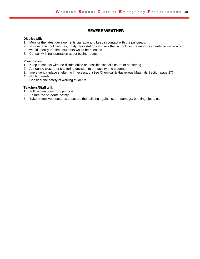#### **SEVERE WEATHER**

#### **District will:**

- 1. Monitor the latest developments via radio and keep in contact with the principals.
- 2. In case of school closures, notify radio stations and ask that school closure announcements be made which would specify the time students would be released.
- 3. Consult with transportation about busing routes.

#### **Principal will:**

- 1. Keep in contact with the district office on possible school closure or sheltering.
- 2. Announce closure or sheltering decision to the faculty and students.
- 3. Implement in-place sheltering if necessary. (See Chemical & Hazardous Materials Section page 27)
- 4. Notify parents.
- 5. Consider the safety of walking students.

#### **Teachers/Staff will:**

- 1. Follow directions from principal.
- 2. Ensure the students' safety.
- 3. Take protective measures to secure the building against storm damage, bursting pipes, etc.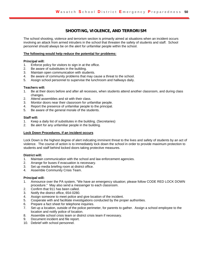# **SHOOTING, VIOLENCE, AND TERRORISM**

The school shooting, violence and terrorism section is primarily aimed at situations when an incident occurs involving an attack from armed intruders in the school that threaten the safety of students and staff. School personnel should always be on the alert for unfamiliar people within the school.

#### **The following would help reduce the potential for problems:**

#### **Principal will:**

- 1. Enforce policy for visitors to sign in at the office.<br>2. Be aware of substitutes in the building.
- Be aware of substitutes in the building.
- 3. Maintain open communication with students.
- 4. Be aware of community problems that may cause a threat to the school.
- 5. Assign school personnel to supervise the lunchroom and hallways daily.

#### **Teachers will:**

- 1. Be at their doors before and after all recesses, when students attend another classroom, and during class changes.
- 2. Attend assemblies and sit with their class.
- 3. Monitor doors near their classroom for unfamiliar people.
- 4. Report the presence of unfamiliar people to the principal.
- 5. Be aware of the general morale of the students.

#### **Staff will:**

- 1. Keep a daily list of substitutes in the building. (Secretaries)
- 2. Be alert for any unfamiliar people in the building.

#### **Lock Down Procedures, if an incident occurs**

Lock Down is the highest degree of alert indicating imminent threat to the lives and safety of students by an act of violence. The course of action is to immediately lock down the school in order to provide maximum protection to students and staff behind locked doors taking protective measures.

#### **District will:**

- 1. Maintain communication with the school and law enforcement agencies.
- 2. Arrange for buses if evacuation is necessary.
- 3. Set up media briefing room at district office.
- 4. Assemble Community Crisis Team.

#### **Principal will:**

- 1. Announce over the PA system, "We have an emergency situation; please follow CODE RED LOCK DOWN procedure." May also send a messenger to each classroom.
- 2. Confirm that 911 has been called.
- 3. Notify the district office, 654-0280.<br>4. Assign someone to meet police an
- Assign someone to meet police and give location of the incident.
- 5. Cooperate with and facilitate investigations conducted by the proper authorities.
- 6. Prepare a fact sheet for telephone inquiries.
- 7. Set up a location, outside of the police perimeter, for parents to gather. Assign a school employee to the location and notify police of location.
- 8. Assemble school crisis team or district crisis team if necessary.<br>9. Document incident and file report.
- Document incident and file report.
- 10. Debrief with school personnel.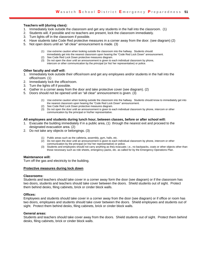#### **Teachers will (during class):**

- 1. Immediately look outside the classroom and get any students in the hall into the classroom. (1)
- 2. Students will, if possible and no teachers are present, lock the classroom immediately.
- 3. Turn lights off in the classroom if possible.
- 4. Have students take Code Red protective measures in a corner away from the door. (see diagram) (2)
- 5. Not open doors until an "all clear" announcement is made. (3)
	- (1) Use extreme caution when looking outside the classroom into the hallway. Students should immediately get into the nearest classroom upon hearing the "Code Red Lock Down" announcement.
	- (2) See Code Red Lock Down protective measures diagram.
	- (3) Do not open the door until an announcement is given to each individual classroom by phone, intercom or other communication by the principal (or his/ her representative) or police.

#### **Other faculty and staff will:**

- 1. Immediately look outside their office/room and get any employees and/or students in the hall into the office/room. (1)
- 2. Immediately lock the office/room.
- 3. Turn the lights off if possible.
- 4. Gather in a corner away from the door and take protective cover (see diagram). (2)
- 5. Doors should not be opened until an "all clear" announcement is given. (3)
	- (1) Use extreme caution when looking outside the classroom into the hallway. Students should know to immediately get into the nearest classroom upon hearing the "Code Red Lock Down" announcement.
	- (2) See Code Red Lock Down protective measures diagram.
	- (3) Do not open the door until an announcement is given to each individual classroom by phone, intercom or other communication by the principal or his/her representative.

#### **All employees and students during lunch hour, between classes, before or after school will:**

- 1. Evacuate the building immediately if in a public area, (1) through the nearest exit and proceed to the designated evacuation area. (2)
- 2. Do not take any objects or belongings. (3)
	- (1) Public areas such as the cafeteria, assembly, gym, halls, etc.
	- (2) Do not open the door until an announcement is given to each individual classroom by phone, intercom or other communication by the principal (or his/ her representative) or police.
	- (3) Students and employees should not carry anything as they evacuate; i.e., no backpacks, coats or other objects other than those necessary such as role sheets, emergency packs, etc. as called for by the Emergency Operations Plan.

#### **Maintenance will:**

Turn off the gas and electricity to the building.

#### **Protective measures during lock down**

#### **Classrooms:**

Students and teachers should take cover in a corner away form the door (see diagram) or if the classroom has two doors, students and teachers should take cover between the doors. Shield students out of sight. Protect them behind desks, filing cabinets, brick or cinder block walls.

#### **Offices:**

Employees and students should take cover in a corner away from the door (see diagram) or if office or room has two doors, employees and students should take cover between the doors. Shield employees and students out of sight. Protect them behind desks, filing cabinets, brick or cinder block walls.

#### **General areas:**

Students and teachers should take cover away from the doors. Shield students out of sight. Protect them behind desks, filing cabinets, brick or cinder block walls.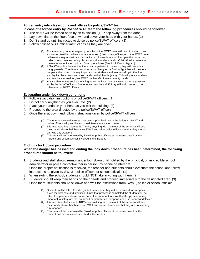#### **Forced entry into classrooms and offices by police/SWAT team**

**In case of a forced entry by Police/SWAT team the following procedures should be followed:**

- 1. The doors will be forced open by an explosion. (1) Keep away from the door.
- 2. Lay down flat on the floor, face down and cover your head with your hands. (2)
- 3. Don't stand up until instructed to do so by police/SWAT officers. (3)
- 4. Follow police/SWAT officer instructions as they are given.
	- (1) For immediacy under emergency conditions, the SWAT team will need to enter rooms as fast as possible. Where rooms are locked (classrooms, offices, etc.) the SWAT team will use a shotgun blast or a mechanical explosive device to blow open the doors. In order to avoid injuries during his process, the students and staff MUST take protective measures as indicated by Lock Down procedures (See Lock Down diagram).
	- (2) If SWAT or police believe that there is a perpetrator in the room, they will use a flash bang grenade. The device produces a loud bang and a flash of light that will disorient people in the room. It is very important that students and teachers drop to the floor and lay flat, face down with their hands on their heads (ears). This will protect students and teachers as well as give SWAT the benefit of seeing empty hands.
	- (3) Any sudden moves such as jumping up off the floor may be viewed as an aggressive act by the SWAT officers. Students and teachers MUST lay still until directed to do otherwise by SWAT officers.

#### **Evacuating under lock down conditions**

- 1. Follow evacuation instructions of police/SWAT officers. (1)
- 2. Do not carry anything as you evacuate. (2)
- 3. Place your hands on your head as you exit the building. (3)
- 4. Proceed to the area directed by the police/SWAT officers.
- 5. Once there sit down and follow instructions given by police/SWAT officers.
	- (1) The normal evacuation route may be compromised due to the incident. SWAT and police officers will give directions to different evacuation routes.
	- (2) It is important that students NOT carry anything with them out of the school and keep their hands above their heads so SWAT and other police officers see that they are not carrying any weapons.
	- (3) This area will be determined by SWAT or police officers at the scene based on the incident and circumstances involved in the incident.

#### **Ending a lock down procedure**

#### **When the danger has passed and ending the lock down procedure has been determined, the following procedures should be followed:**

- 1. Students and staff should remain under lock down until notified by the principal, other credible school administrator or police contact--either in person, by phone or intercom.
- 2. Once the proper notification is received, the teacher and students should evacuate the school and follow instructions as given by SWAT, police officers or school officials. (1)
- 3. When exiting the school, students should NOT take anything with them. (2)
- 4. Students should keep their hands on their heads and proceed immediately to the designated area. (3)
- 5. Once there, students should sit down and wait for instructions from SWAT, police or school officials.
	- (1) Students will be taken to a designated area where they will be searched for weapons, given medical care and identified. Once that process is completed the students will be taken to a permanent evacuation area. It is important to know that this process is very important to safeguard that no armed perpetrators or weapons leave the school undetected.
	- (2) It is important that students **NOT** carry anything with them out of the school and keep their hands above their heads so SWAT and police officers see that they are not carrying any weapons.
	- (3) This area will be determined by SWAT or police officers at the scene based on the incident and circumstances involved in the incident.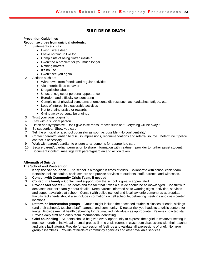#### **SUICIDE OR DEATH**

#### **Prevention Guidelines**

#### **Recognize clues from suicidal students:**

- 1. Statements such as:
	- I wish I were dead.
	- I have nothing to live for.
	- Complaints of being "rotten inside."
	- I won't be a problem for you much longer.
	- Nothing matters.
	- It's no use.
	- I won't see you again.
- 2. Actions such as:
	- Withdrawal from friends and regular activities
	- Violent/rebellious behavior
	- Drug/alcohol abuse
	- Unusual neglect of personal appearance
	- Boredom and difficulty concentrating
	- Complains of physical symptoms of emotional distress such as headaches, fatigue, etc.
	- Loss of interest in pleasurable activities
	- Not tolerating praise or rewards
	- Giving away personal belongings
- 3. Trust your own judgment.
- 4. Stay with a suicidal person.
- 5. Listen and sympathize. Don't give false reassurances such as "Everything will be okay."
- 6. Be supportive. Show you care.
- 7. Tell the principal or a school counselor as soon as possible. (No confidentiality)
- 8. Contact parent/guardian to discuss impressions, recommendations and referral source. Determine if police contact is necessary.
- 9. Work with parent/guardian to ensure arrangements for appropriate care.
- 10. Secure parent/guardian permission to share information with treatment provider to further assist student.
- 11. Document incident, meetings with parent/guardian and action taken.

#### **Aftermath of Suicide**

#### **The School and Postvention**

- 1. **Keep the school open** The school is a magnet in times of crisis. Collaborate with school crisis team. Establish bell schedules, crisis centers and provide services to students, staff, parents, and witnesses.
- 2. **Consult with Community Crisis Team, if needed**
- 3. **Contact the family** Contact and support from the school is greatly appreciated.
- 4. **Provide fact sheets** The death and the fact that it was a suicide should be acknowledged. Consult with deceased student's family about details. Keep parents informed as to warning signs, activities, services and support available at school. Consult with police (school and local law enforcement) as appropriate. Faculty fact sheets should also include information on bell schedule, debriefing meetings and crisis center locations.
- 5. **Determine intervention groups** Groups might include the deceased student's classes, friends, siblings (and their schools), teachers/staff, parents, and community. Direct at-risk youth/adults to crisis centers for triage. Provide mental health debriefing for traumatized individuals as appropriate. Relieve impacted staff. Provide daily staff and crisis team informational debriefing.
- 6. **Grief counseling** Students should be given every opportunity to express their grief in whatever setting is most comfortable: individual or small groups (in the crisis room); in classroom discussions with their teacher and crisis facilitator(s). Provide for expression of feelings and validate all expressions of grief. No large group assemblies. Provide referrals of community agencies and other available services.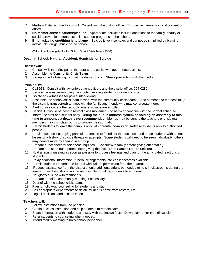- 7. **Media** Establish media control. Consult with the district office. Emphasize intervention and prevention efforts.
- 8. **No memorials/dedications/plaques** Appropriate activities include donations to the family, charity or suicide prevention efforts; establish support programs at the school.
- 9. **Emphasize no one/thing is to blame** Suicide is very complex and cannot be simplified by blaming individuals, drugs, music or the school.

(Taken from Los Angeles Unified School District Crisis Teams 98-99)

#### **Death at School: Natural, Accident, Homicide, or Suicide**

#### **District will:**

- 1. Consult with the principal on the details and assist with appropriate actions.
- 2. Assemble the Community Crisis Team.
- 3. Set up a media briefing room at the district office. Stress prevention with the media.

#### **Principal will:**

- 1. Call 911. Consult with law enforcement officers and the district office, 654-0280.
- 2. Secure the area surrounding the incident moving students to a neutral site.
- 3. Isolate any witnesses for police interviewing.
- 4. Assemble the school crisis team to work with the community crisis team. Send someone to the hospital (if the victim is transported) to meet with the family and friends who may congregate there.
- 5. Alert counselors at other schools where siblings are enrolled.
- 6. Decide if it would be best to restrict class movement (no bells) or continue with the normal schedule.
- 7. Inform the staff and student body. **Using the public address system or holding an assembly at this time to announce a death is not recommended.** Memos may be sent to the teachers or crisis team members may visit classrooms to convey the information.
- 8. Permit students to leave the campus only with parental permission. Release students only to authorized people.
- 9. Provide counseling, paying particular attention to friends of the deceased and those students with recent losses or a history of suicide threats or attempts. Some students will need to be seen individually; others may benefit more by sharing in a group.
- 10. Prepare a fact sheet for telephone inquiries. (Consult with family before giving out details.)
- 11. Prepare and send out a parent letter giving the facts. (See Sample Letters Section)
- 12. Hold a faculty meeting as soon as possible to process feelings and plan for the anticipated reactions of students.
- 13. Relay additional information (funeral arrangements, etc.) as it becomes available.
- 14. Permit students to attend the funeral with written permission from their parents.
- 15. Request assistance from the district should additional adults be needed to help in classrooms during the funeral. Teachers should not be responsible for taking students to a funeral.
- 16. Not glorify suicide with memorials.
- 17. Prepare to hold a community meeting if necessary.
- 18. Debrief with the school crisis team.
- 19. Plan for follow-up counseling for students and staff.
- 20. Call appropriate departments to delete student's name from rosters, etc.
- 21. Log all decisions and actions taken.

#### **Teachers will:**

- 1. Follow instructions from the principal.
- 2. Continue class instruction and help students to remain calm.
- 3. Share information with students and stay with the known facts. Down play rumor-type discussion.
- 4. Refer students to counseling when needed.
- 5. Attend faculty meeting to unify school personnel.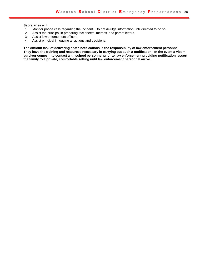#### **Secretaries will:**

- Monitor phone calls regarding the incident. Do not divulge information until directed to do so.  $1.$
- $2.$ Assist the principal in preparing fact sheets, memos, and parent letters.
- Assist law enforcement officers.  $3<sub>1</sub>$
- Assist principal in logging all actions and decisions. 4.

The difficult task of delivering death notifications is the responsibility of law enforcement personnel. They have the training and resources necessary in carrying out such a notification. In the event a victim survivor comes into contact with school personnel prior to law enforcement providing notification, escort the family to a private, comfortable setting until law enforcement personnel arrive.